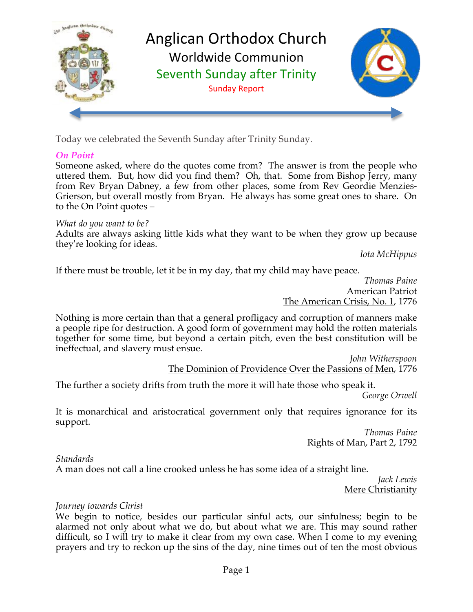

Today we celebrated the Seventh Sunday after Trinity Sunday.

### *On Point*

Someone asked, where do the quotes come from? The answer is from the people who uttered them. But, how did you find them? Oh, that. Some from Bishop Jerry, many from Rev Bryan Dabney, a few from other places, some from Rev Geordie Menzies-Grierson, but overall mostly from Bryan. He always has some great ones to share. On to the On Point quotes –

### *What do you want to be?*

Adults are always asking little kids what they want to be when they grow up because they're looking for ideas.

*Iota McHippus*

If there must be trouble, let it be in my day, that my child may have peace.

*Thomas Paine* American Patriot The American Crisis, No. 1, 1776

Nothing is more certain than that a general profligacy and corruption of manners make a people ripe for destruction. A good form of government may hold the rotten materials together for some time, but beyond a certain pitch, even the best constitution will be ineffectual, and slavery must ensue.

> *John Witherspoon* The Dominion of Providence Over the Passions of Men, 1776

The further a society drifts from truth the more it will hate those who speak it. *George Orwell*

It is monarchical and aristocratical government only that requires ignorance for its support.

> *Thomas Paine* Rights of Man, Part 2, 1792

### *Standards*

A man does not call a line crooked unless he has some idea of a straight line.

*Jack Lewis* Mere Christianity

### *Journey towards Christ*

We begin to notice, besides our particular sinful acts, our sinfulness; begin to be alarmed not only about what we do, but about what we are. This may sound rather difficult, so I will try to make it clear from my own case. When I come to my evening prayers and try to reckon up the sins of the day, nine times out of ten the most obvious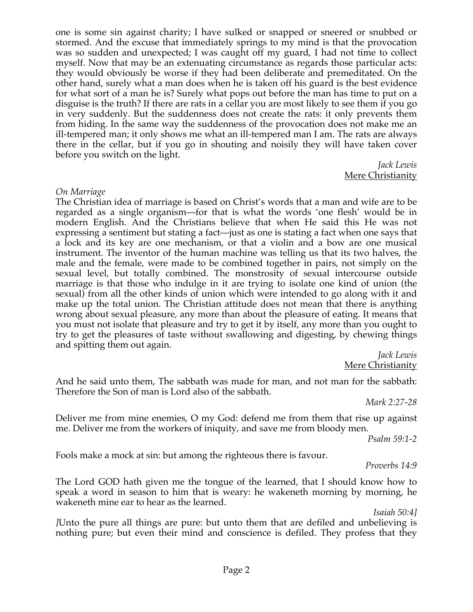one is some sin against charity; I have sulked or snapped or sneered or snubbed or stormed. And the excuse that immediately springs to my mind is that the provocation was so sudden and unexpected; I was caught off my guard, I had not time to collect myself. Now that may be an extenuating circumstance as regards those particular acts: they would obviously be worse if they had been deliberate and premeditated. On the other hand, surely what a man does when he is taken off his guard is the best evidence for what sort of a man he is? Surely what pops out before the man has time to put on a disguise is the truth? If there are rats in a cellar you are most likely to see them if you go in very suddenly. But the suddenness does not create the rats: it only prevents them from hiding. In the same way the suddenness of the provocation does not make me an ill-tempered man; it only shows me what an ill-tempered man I am. The rats are always there in the cellar, but if you go in shouting and noisily they will have taken cover before you switch on the light.

*Jack Lewis* Mere Christianity

#### *On Marriage*

The Christian idea of marriage is based on Christ's words that a man and wife are to be regarded as a single organism—for that is what the words 'one flesh' would be in modern English. And the Christians believe that when He said this He was not expressing a sentiment but stating a fact—just as one is stating a fact when one says that a lock and its key are one mechanism, or that a violin and a bow are one musical instrument. The inventor of the human machine was telling us that its two halves, the male and the female, were made to be combined together in pairs, not simply on the sexual level, but totally combined. The monstrosity of sexual intercourse outside marriage is that those who indulge in it are trying to isolate one kind of union (the sexual) from all the other kinds of union which were intended to go along with it and make up the total union. The Christian attitude does not mean that there is anything wrong about sexual pleasure, any more than about the pleasure of eating. It means that you must not isolate that pleasure and try to get it by itself, any more than you ought to try to get the pleasures of taste without swallowing and digesting, by chewing things and spitting them out again.

*Jack Lewis* Mere Christianity

And he said unto them, The sabbath was made for man, and not man for the sabbath: Therefore the Son of man is Lord also of the sabbath.

*Mark 2:27-28*

Deliver me from mine enemies, O my God: defend me from them that rise up against me. Deliver me from the workers of iniquity, and save me from bloody men.

*Psalm 59:1-2*

Fools make a mock at sin: but among the righteous there is favour.

*Proverbs 14:9*

The Lord GOD hath given me the tongue of the learned, that I should know how to speak a word in season to him that is weary: he wakeneth morning by morning, he wakeneth mine ear to hear as the learned.

*Isaiah 50:4]*

*]*Unto the pure all things are pure: but unto them that are defiled and unbelieving is nothing pure; but even their mind and conscience is defiled. They profess that they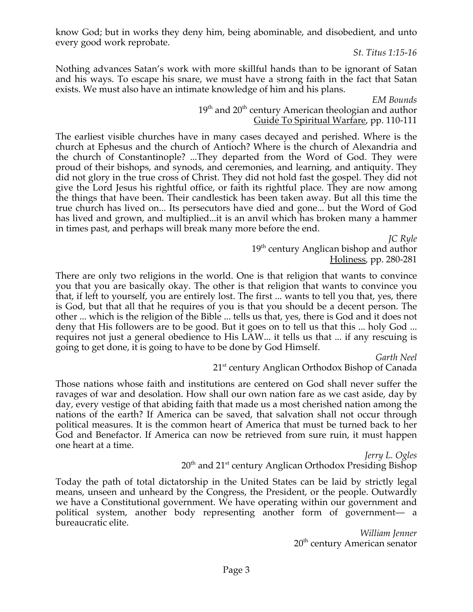know God; but in works they deny him, being abominable, and disobedient, and unto every good work reprobate.

*St. Titus 1:15-16*

Nothing advances Satan's work with more skillful hands than to be ignorant of Satan and his ways. To escape his snare, we must have a strong faith in the fact that Satan exists. We must also have an intimate knowledge of him and his plans.

*EM Bounds*

 $19<sup>th</sup>$  and  $20<sup>th</sup>$  century American theologian and author Guide To Spiritual Warfare, pp. 110-111

The earliest visible churches have in many cases decayed and perished. Where is the church at Ephesus and the church of Antioch? Where is the church of Alexandria and the church of Constantinople? ...They departed from the Word of God. They were proud of their bishops, and synods, and ceremonies, and learning, and antiquity. They did not glory in the true cross of Christ. They did not hold fast the gospel. They did not give the Lord Jesus his rightful office, or faith its rightful place. They are now among the things that have been. Their candlestick has been taken away. But all this time the true church has lived on... Its persecutors have died and gone... but the Word of God has lived and grown, and multiplied...it is an anvil which has broken many a hammer in times past, and perhaps will break many more before the end.

*JC Ryle*

19<sup>th</sup> century Anglican bishop and author Holiness, pp. 280-281

There are only two religions in the world. One is that religion that wants to convince you that you are basically okay. The other is that religion that wants to convince you that, if left to yourself, you are entirely lost. The first ... wants to tell you that, yes, there is God, but that all that he requires of you is that you should be a decent person. The other ... which is the religion of the Bible ... tells us that, yes, there is God and it does not deny that His followers are to be good. But it goes on to tell us that this ... holy God ... requires not just a general obedience to His LAW... it tells us that ... if any rescuing is going to get done, it is going to have to be done by God Himself.

*Garth Neel*

21<sup>st</sup> century Anglican Orthodox Bishop of Canada

Those nations whose faith and institutions are centered on God shall never suffer the ravages of war and desolation. How shall our own nation fare as we cast aside, day by day, every vestige of that abiding faith that made us a most cherished nation among the nations of the earth? If America can be saved, that salvation shall not occur through political measures. It is the common heart of America that must be turned back to her God and Benefactor. If America can now be retrieved from sure ruin, it must happen one heart at a time.

> *Jerry L. Ogles*  $20<sup>th</sup>$  and  $21<sup>st</sup>$  century Anglican Orthodox Presiding Bishop

Today the path of total dictatorship in the United States can be laid by strictly legal means, unseen and unheard by the Congress, the President, or the people. Outwardly we have a Constitutional government. We have operating within our government and political system, another body representing another form of government— a bureaucratic elite.

> *William Jenner*  $20<sup>th</sup>$  century American senator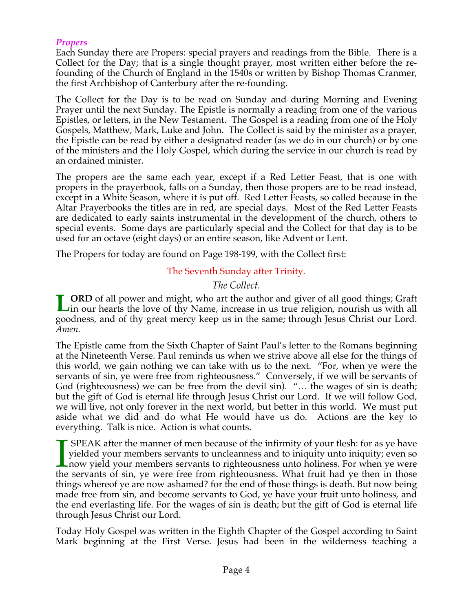### *Propers*

Each Sunday there are Propers: special prayers and readings from the Bible. There is a Collect for the Day; that is a single thought prayer, most written either before the refounding of the Church of England in the 1540s or written by Bishop Thomas Cranmer, the first Archbishop of Canterbury after the re-founding.

The Collect for the Day is to be read on Sunday and during Morning and Evening Prayer until the next Sunday. The Epistle is normally a reading from one of the various Epistles, or letters, in the New Testament. The Gospel is a reading from one of the Holy Gospels, Matthew, Mark, Luke and John. The Collect is said by the minister as a prayer, the Epistle can be read by either a designated reader (as we do in our church) or by one of the ministers and the Holy Gospel, which during the service in our church is read by an ordained minister.

The propers are the same each year, except if a Red Letter Feast, that is one with propers in the prayerbook, falls on a Sunday, then those propers are to be read instead, except in a White Season, where it is put off. Red Letter Feasts, so called because in the Altar Prayerbooks the titles are in red, are special days. Most of the Red Letter Feasts are dedicated to early saints instrumental in the development of the church, others to special events. Some days are particularly special and the Collect for that day is to be used for an octave (eight days) or an entire season, like Advent or Lent.

The Propers for today are found on Page 198-199, with the Collect first:

### The Seventh Sunday after Trinity.

### *The Collect.*

**ORD** of all power and might, who art the author and giver of all good things; Graft **IORD** of all power and might, who art the author and giver of all good things; Graft in our hearts the love of thy Name, increase in us true religion, nourish us with all and a short of the state of the state of the state goodness, and of thy great mercy keep us in the same; through Jesus Christ our Lord. *Amen.*

The Epistle came from the Sixth Chapter of Saint Paul's letter to the Romans beginning at the Nineteenth Verse. Paul reminds us when we strive above all else for the things of this world, we gain nothing we can take with us to the next. "For, when ye were the servants of sin, ye were free from righteousness." Conversely, if we will be servants of God (righteousness) we can be free from the devil sin). "… the wages of sin is death; but the gift of God is eternal life through Jesus Christ our Lord. If we will follow God, we will live, not only forever in the next world, but better in this world. We must put aside what we did and do what He would have us do. Actions are the key to everything. Talk is nice. Action is what counts.

 SPEAK after the manner of men because of the infirmity of your flesh: for as ye have yielded your members servants to uncleanness and to iniquity unto iniquity; even so now yield your members servants to righteousness unto holiness. For when ye were the servants of sin, ye were free from righteousness. What fruit had ye then in those things whereof ye are now ashamed? for the end of those things is death. But now being made free from sin, and become servants to God, ye have your fruit unto holiness, and the end everlasting life. For the wages of sin is death; but the gift of God is eternal life through Jesus Christ our Lord.  $\prod_{\text{the}}$ 

Today Holy Gospel was written in the Eighth Chapter of the Gospel according to Saint Mark beginning at the First Verse. Jesus had been in the wilderness teaching a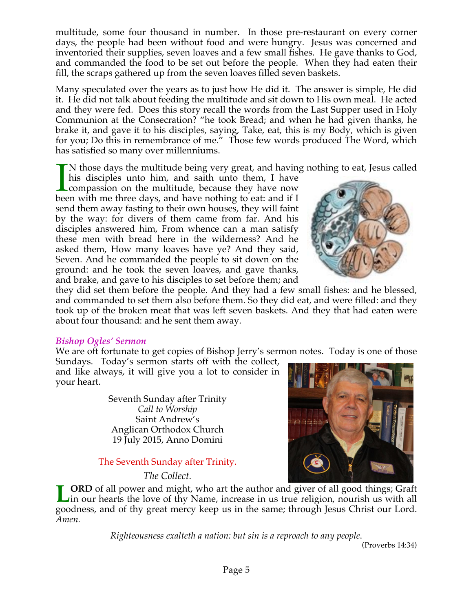multitude, some four thousand in number. In those pre-restaurant on every corner days, the people had been without food and were hungry. Jesus was concerned and inventoried their supplies, seven loaves and a few small fishes. He gave thanks to God, and commanded the food to be set out before the people. When they had eaten their fill, the scraps gathered up from the seven loaves filled seven baskets.

Many speculated over the years as to just how He did it. The answer is simple, He did it. He did not talk about feeding the multitude and sit down to His own meal. He acted and they were fed. Does this story recall the words from the Last Supper used in Holy Communion at the Consecration? "he took Bread; and when he had given thanks, he brake it, and gave it to his disciples, saying, Take, eat, this is my Body, which is given for you; Do this in remembrance of me." Those few words produced The Word, which has satisfied so many over millenniums.

N those days the multitude being very great, and having nothing to eat, Jesus called

his disciples unto him, and saith unto them, I have compassion on the multitude, because they have now been with me three days, and have nothing to eat: and if I send them away fasting to their own houses, they will faint by the way: for divers of them came from far. And his disciples answered him, From whence can a man satisfy these men with bread here in the wilderness? And he asked them, How many loaves have ye? And they said, Seven. And he commanded the people to sit down on the ground: and he took the seven loaves, and gave thanks, and brake, and gave to his disciples to set before them; and  $\prod_{\text{bee}}$ 



they did set them before the people. And they had a few small fishes: and he blessed, and commanded to set them also before them. So they did eat, and were filled: and they took up of the broken meat that was left seven baskets. And they that had eaten were about four thousand: and he sent them away.

### *Bishop Ogles' Sermon*

We are oft fortunate to get copies of Bishop Jerry's sermon notes. Today is one of those

Sundays. Today's sermon starts off with the collect, and like always, it will give you a lot to consider in your heart.

> Seventh Sunday after Trinity *Call to Worship* Saint Andrew's Anglican Orthodox Church 19 July 2015, Anno Domini

### The Seventh Sunday after Trinity.

*The Collect.*



**ORD** of all power and might, who art the author and giver of all good things; Graft **IORD** of all power and might, who art the author and giver of all good things; Graft in our hearts the love of thy Name, increase in us true religion, nourish us with all and a short of the state of the state of the state goodness, and of thy great mercy keep us in the same; through Jesus Christ our Lord. *Amen.*

> *Righteousness exalteth a nation: but sin is a reproach to any people*. (Proverbs 14:34)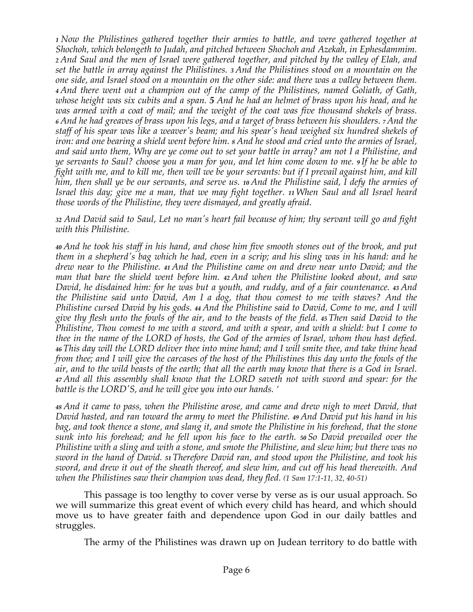*<sup>1</sup> Now the Philistines gathered together their armies to battle, and were gathered together at Shochoh, which belongeth to Judah, and pitched between Shochoh and Azekah, in Ephesdammim. <sup>2</sup> And Saul and the men of Israel were gathered together, and pitched by the valley of Elah, and set the battle in array against the Philistines. <sup>3</sup> And the Philistines stood on a mountain on the one side, and Israel stood on a mountain on the other side: and there was a valley between them. <sup>4</sup> And there went out a champion out of the camp of the Philistines, named Goliath, of Gath, whose height was six cubits and a span. 5 And he had an helmet of brass upon his head, and he was armed with a coat of mail; and the weight of the coat was five thousand shekels of brass. <sup>6</sup> And he had greaves of brass upon his legs, and a target of brass between his shoulders. <sup>7</sup> And the staff of his spear was like a weaver's beam; and his spear's head weighed six hundred shekels of iron: and one bearing a shield went before him. <sup>8</sup> And he stood and cried unto the armies of Israel, and said unto them, Why are ye come out to set your battle in array? am not I a Philistine, and ye servants to Saul? choose you a man for you, and let him come down to me. <sup>9</sup> If he be able to fight with me, and to kill me, then will we be your servants: but if I prevail against him, and kill him, then shall ye be our servants, and serve us. <sup>10</sup> And the Philistine said, I defy the armies of Israel this day; give me a man, that we may fight together. <sup>11</sup> When Saul and all Israel heard those words of the Philistine, they were dismayed, and greatly afraid.*

*<sup>32</sup> And David said to Saul, Let no man's heart fail because of him; thy servant will go and fight with this Philistine.*

*<sup>40</sup> And he took his staff in his hand, and chose him five smooth stones out of the brook, and put them in a shepherd's bag which he had, even in a scrip; and his sling was in his hand: and he drew near to the Philistine. <sup>41</sup> And the Philistine came on and drew near unto David; and the man that bare the shield went before him. <sup>42</sup> And when the Philistine looked about, and saw David, he disdained him: for he was but a youth, and ruddy, and of a fair countenance. <sup>43</sup> And the Philistine said unto David, Am I a dog, that thou comest to me with staves? And the Philistine cursed David by his gods. <sup>44</sup> And the Philistine said to David, Come to me, and I will give thy flesh unto the fowls of the air, and to the beasts of the field. <sup>45</sup> Then said David to the Philistine, Thou comest to me with a sword, and with a spear, and with a shield: but I come to thee in the name of the LORD of hosts, the God of the armies of Israel, whom thou hast defied. <sup>46</sup> This day will the LORD deliver thee into mine hand; and I will smite thee, and take thine head from thee; and I will give the carcases of the host of the Philistines this day unto the fowls of the air, and to the wild beasts of the earth; that all the earth may know that there is a God in Israel. <sup>47</sup> And all this assembly shall know that the LORD saveth not with sword and spear: for the battle is the LORD'S, and he will give you into our hands. '*

*<sup>48</sup> And it came to pass, when the Philistine arose, and came and drew nigh to meet David, that David hasted, and ran toward the army to meet the Philistine. <sup>49</sup> And David put his hand in his bag, and took thence a stone, and slang it, and smote the Philistine in his forehead, that the stone sunk into his forehead; and he fell upon his face to the earth. <sup>50</sup> So David prevailed over the Philistine with a sling and with a stone, and smote the Philistine, and slew him; but there was no sword in the hand of David. <sup>51</sup> Therefore David ran, and stood upon the Philistine, and took his sword, and drew it out of the sheath thereof, and slew him, and cut off his head therewith. And when the Philistines saw their champion was dead, they fled. (1 Sam 17:1-11, 32, 40-51)*

 This passage is too lengthy to cover verse by verse as is our usual approach. So we will summarize this great event of which every child has heard, and which should move us to have greater faith and dependence upon God in our daily battles and struggles.

The army of the Philistines was drawn up on Judean territory to do battle with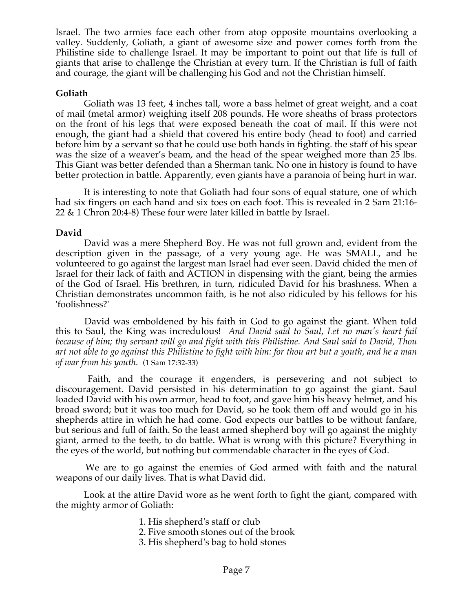Israel. The two armies face each other from atop opposite mountains overlooking a valley. Suddenly, Goliath, a giant of awesome size and power comes forth from the Philistine side to challenge Israel. It may be important to point out that life is full of giants that arise to challenge the Christian at every turn. If the Christian is full of faith and courage, the giant will be challenging his God and not the Christian himself.

### **Goliath**

 Goliath was 13 feet, 4 inches tall, wore a bass helmet of great weight, and a coat of mail (metal armor) weighing itself 208 pounds. He wore sheaths of brass protectors on the front of his legs that were exposed beneath the coat of mail. If this were not enough, the giant had a shield that covered his entire body (head to foot) and carried before him by a servant so that he could use both hands in fighting. the staff of his spear was the size of a weaver's beam, and the head of the spear weighed more than 25 lbs. This Giant was better defended than a Sherman tank. No one in history is found to have better protection in battle. Apparently, even giants have a paranoia of being hurt in war.

 It is interesting to note that Goliath had four sons of equal stature, one of which had six fingers on each hand and six toes on each foot. This is revealed in 2 Sam 21:16- 22 & 1 Chron 20:4-8) These four were later killed in battle by Israel.

### **David**

 David was a mere Shepherd Boy. He was not full grown and, evident from the description given in the passage, of a very young age. He was SMALL, and he volunteered to go against the largest man Israel had ever seen. David chided the men of Israel for their lack of faith and ACTION in dispensing with the giant, being the armies of the God of Israel. His brethren, in turn, ridiculed David for his brashness. When a Christian demonstrates uncommon faith, is he not also ridiculed by his fellows for his 'foolishness?'

 David was emboldened by his faith in God to go against the giant. When told this to Saul, the King was incredulous! *And David said to Saul, Let no man's heart fail because of him; thy servant will go and fight with this Philistine. And Saul said to David, Thou art not able to go against this Philistine to fight with him: for thou art but a youth, and he a man of war from his youth.* (1 Sam 17:32-33)

 Faith, and the courage it engenders, is persevering and not subject to discouragement. David persisted in his determination to go against the giant. Saul loaded David with his own armor, head to foot, and gave him his heavy helmet, and his broad sword; but it was too much for David, so he took them off and would go in his shepherds attire in which he had come. God expects our battles to be without fanfare, but serious and full of faith. So the least armed shepherd boy will go against the mighty giant, armed to the teeth, to do battle. What is wrong with this picture? Everything in the eyes of the world, but nothing but commendable character in the eyes of God.

 We are to go against the enemies of God armed with faith and the natural weapons of our daily lives. That is what David did.

 Look at the attire David wore as he went forth to fight the giant, compared with the mighty armor of Goliath:

- 1. His shepherd's staff or club
- 2. Five smooth stones out of the brook
- 3. His shepherd's bag to hold stones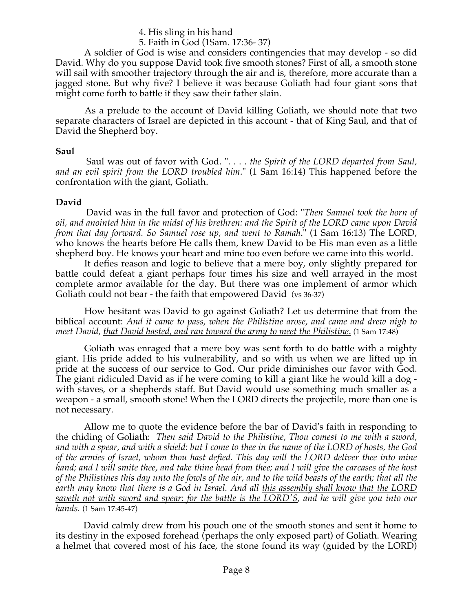### 4. His sling in his hand

5. Faith in God (1Sam. 17:36- 37)

 A soldier of God is wise and considers contingencies that may develop - so did David. Why do you suppose David took five smooth stones? First of all, a smooth stone will sail with smoother trajectory through the air and is, therefore, more accurate than a jagged stone. But why five? I believe it was because Goliath had four giant sons that might come forth to battle if they saw their father slain.

 As a prelude to the account of David killing Goliath, we should note that two separate characters of Israel are depicted in this account - that of King Saul, and that of David the Shepherd boy.

#### **Saul**

 Saul was out of favor with God. ". . . . *the Spirit of the LORD departed from Saul, and an evil spirit from the LORD troubled him*." (1 Sam 16:14) This happened before the confrontation with the giant, Goliath.

### **David**

 David was in the full favor and protection of God: "*Then Samuel took the horn of oil, and anointed him in the midst of his brethren: and the Spirit of the LORD came upon David from that day forward. So Samuel rose up, and went to Ramah*." (1 Sam 16:13) The LORD, who knows the hearts before He calls them, knew David to be His man even as a little shepherd boy. He knows your heart and mine too even before we came into this world.

 It defies reason and logic to believe that a mere boy, only slightly prepared for battle could defeat a giant perhaps four times his size and well arrayed in the most complete armor available for the day. But there was one implement of armor which Goliath could not bear - the faith that empowered David (vs 36-37)

 How hesitant was David to go against Goliath? Let us determine that from the biblical account: *And it came to pass, when the Philistine arose, and came and drew nigh to meet David, that David hasted, and ran toward the army to meet the Philistine*. (1 Sam 17:48)

 Goliath was enraged that a mere boy was sent forth to do battle with a mighty giant. His pride added to his vulnerability, and so with us when we are lifted up in pride at the success of our service to God. Our pride diminishes our favor with God. The giant ridiculed David as if he were coming to kill a giant like he would kill a dog with staves, or a shepherds staff. But David would use something much smaller as a weapon - a small, smooth stone! When the LORD directs the projectile, more than one is not necessary.

 Allow me to quote the evidence before the bar of David's faith in responding to the chiding of Goliath: *Then said David to the Philistine, Thou comest to me with a sword, and with a spear, and with a shield: but I come to thee in the name of the LORD of hosts, the God of the armies of Israel, whom thou hast defied. This day will the LORD deliver thee into mine hand; and I will smite thee, and take thine head from thee; and I will give the carcases of the host of the Philistines this day unto the fowls of the air, and to the wild beasts of the earth; that all the earth may know that there is a God in Israel. And all this assembly shall know that the LORD saveth not with sword and spear: for the battle is the LORD'S, and he will give you into our hands.* (1 Sam 17:45-47)

 David calmly drew from his pouch one of the smooth stones and sent it home to its destiny in the exposed forehead (perhaps the only exposed part) of Goliath. Wearing a helmet that covered most of his face, the stone found its way (guided by the LORD)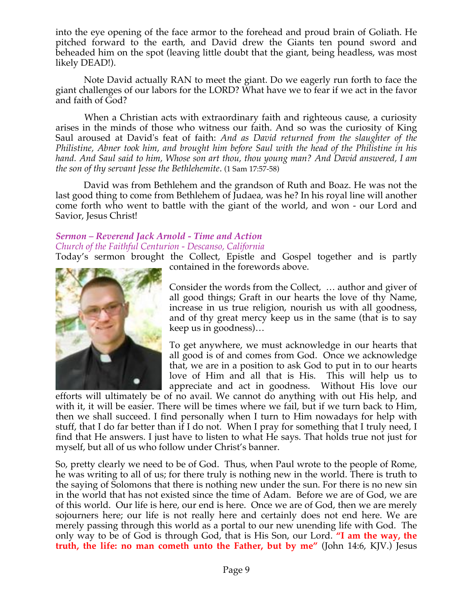into the eye opening of the face armor to the forehead and proud brain of Goliath. He pitched forward to the earth, and David drew the Giants ten pound sword and beheaded him on the spot (leaving little doubt that the giant, being headless, was most likely DEAD!).

 Note David actually RAN to meet the giant. Do we eagerly run forth to face the giant challenges of our labors for the LORD? What have we to fear if we act in the favor and faith of God?

 When a Christian acts with extraordinary faith and righteous cause, a curiosity arises in the minds of those who witness our faith. And so was the curiosity of King Saul aroused at David's feat of faith: *And as David returned from the slaughter of the Philistine, Abner took him, and brought him before Saul with the head of the Philistine in his hand. And Saul said to him, Whose son art thou, thou young man? And David answered, I am the son of thy servant Jesse the Bethlehemite*. (1 Sam 17:57-58)

 David was from Bethlehem and the grandson of Ruth and Boaz. He was not the last good thing to come from Bethlehem of Judaea, was he? In his royal line will another come forth who went to battle with the giant of the world, and won - our Lord and Savior, Jesus Christ!

### *Sermon – Reverend Jack Arnold - Time and Action Church of the Faithful Centurion - Descanso, California*

Today's sermon brought the Collect, Epistle and Gospel together and is partly



contained in the forewords above.

Consider the words from the Collect, … author and giver of all good things; Graft in our hearts the love of thy Name, increase in us true religion, nourish us with all goodness, and of thy great mercy keep us in the same (that is to say keep us in goodness)…

To get anywhere, we must acknowledge in our hearts that all good is of and comes from God. Once we acknowledge that, we are in a position to ask God to put in to our hearts love of Him and all that is His. This will help us to appreciate and act in goodness. Without His love our

efforts will ultimately be of no avail. We cannot do anything with out His help, and with it, it will be easier. There will be times where we fail, but if we turn back to Him, then we shall succeed. I find personally when I turn to Him nowadays for help with stuff, that I do far better than if I do not. When I pray for something that I truly need, I find that He answers. I just have to listen to what He says. That holds true not just for myself, but all of us who follow under Christ's banner.

So, pretty clearly we need to be of God. Thus, when Paul wrote to the people of Rome, he was writing to all of us; for there truly is nothing new in the world. There is truth to the saying of Solomons that there is nothing new under the sun. For there is no new sin in the world that has not existed since the time of Adam. Before we are of God, we are of this world. Our life is here, our end is here. Once we are of God, then we are merely sojourners here; our life is not really here and certainly does not end here. We are merely passing through this world as a portal to our new unending life with God. The only way to be of God is through God, that is His Son, our Lord. **"I am the way, the truth, the life: no man cometh unto the Father, but by me"** (John 14:6, KJV.) Jesus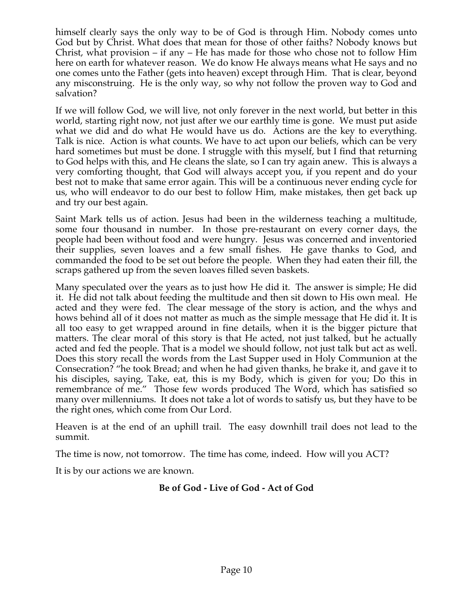himself clearly says the only way to be of God is through Him. Nobody comes unto God but by Christ. What does that mean for those of other faiths? Nobody knows but Christ, what provision – if any – He has made for those who chose not to follow Him here on earth for whatever reason. We do know He always means what He says and no one comes unto the Father (gets into heaven) except through Him. That is clear, beyond any misconstruing. He is the only way, so why not follow the proven way to God and salvation?

If we will follow God, we will live, not only forever in the next world, but better in this world, starting right now, not just after we our earthly time is gone. We must put aside what we did and do what He would have us do. Actions are the key to everything. Talk is nice. Action is what counts. We have to act upon our beliefs, which can be very hard sometimes but must be done. I struggle with this myself, but I find that returning to God helps with this, and He cleans the slate, so I can try again anew. This is always a very comforting thought, that God will always accept you, if you repent and do your best not to make that same error again. This will be a continuous never ending cycle for us, who will endeavor to do our best to follow Him, make mistakes, then get back up and try our best again.

Saint Mark tells us of action. Jesus had been in the wilderness teaching a multitude, some four thousand in number. In those pre-restaurant on every corner days, the people had been without food and were hungry. Jesus was concerned and inventoried their supplies, seven loaves and a few small fishes. He gave thanks to God, and commanded the food to be set out before the people. When they had eaten their fill, the scraps gathered up from the seven loaves filled seven baskets.

Many speculated over the years as to just how He did it. The answer is simple; He did it. He did not talk about feeding the multitude and then sit down to His own meal. He acted and they were fed. The clear message of the story is action, and the whys and hows behind all of it does not matter as much as the simple message that He did it. It is all too easy to get wrapped around in fine details, when it is the bigger picture that matters. The clear moral of this story is that He acted, not just talked, but he actually acted and fed the people. That is a model we should follow, not just talk but act as well. Does this story recall the words from the Last Supper used in Holy Communion at the Consecration? "he took Bread; and when he had given thanks, he brake it, and gave it to his disciples, saying, Take, eat, this is my Body, which is given for you; Do this in remembrance of me." Those few words produced The Word, which has satisfied so many over millenniums. It does not take a lot of words to satisfy us, but they have to be the right ones, which come from Our Lord.

Heaven is at the end of an uphill trail. The easy downhill trail does not lead to the summit.

The time is now, not tomorrow. The time has come, indeed. How will you ACT?

It is by our actions we are known.

### **Be of God - Live of God - Act of God**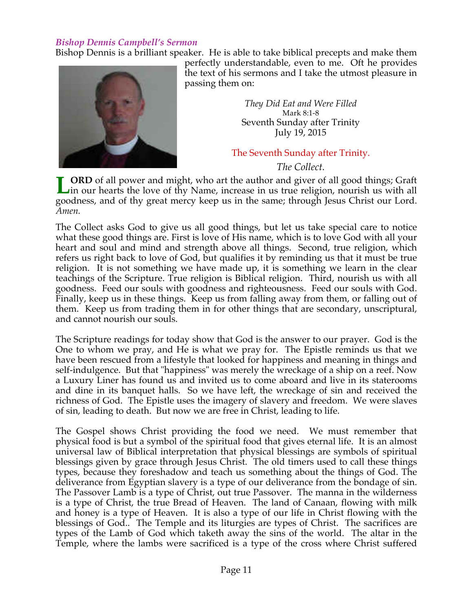### *Bishop Dennis Campbell's Sermon*

Bishop Dennis is a brilliant speaker. He is able to take biblical precepts and make them



perfectly understandable, even to me. Oft he provides the text of his sermons and I take the utmost pleasure in passing them on:

> *They Did Eat and Were Filled* Mark 8:1-8 Seventh Sunday after Trinity July 19, 2015

### The Seventh Sunday after Trinity.

*The Collect.*

**ORD** of all power and might, who art the author and giver of all good things; Graft in our hearts the love of thy Name, increase in us true religion, nourish us with all goodness, and of thy great mercy keep us in the same; through Jesus Christ our Lord. *Amen.* **L**

The Collect asks God to give us all good things, but let us take special care to notice what these good things are. First is love of His name, which is to love God with all your heart and soul and mind and strength above all things. Second, true religion, which refers us right back to love of God, but qualifies it by reminding us that it must be true religion. It is not something we have made up, it is something we learn in the clear teachings of the Scripture. True religion is Biblical religion. Third, nourish us with all goodness. Feed our souls with goodness and righteousness. Feed our souls with God. Finally, keep us in these things. Keep us from falling away from them, or falling out of them. Keep us from trading them in for other things that are secondary, unscriptural, and cannot nourish our souls.

The Scripture readings for today show that God is the answer to our prayer. God is the One to whom we pray, and He is what we pray for. The Epistle reminds us that we have been rescued from a lifestyle that looked for happiness and meaning in things and self-indulgence. But that "happiness" was merely the wreckage of a ship on a reef. Now a Luxury Liner has found us and invited us to come aboard and live in its staterooms and dine in its banquet halls. So we have left, the wreckage of sin and received the richness of God. The Epistle uses the imagery of slavery and freedom. We were slaves of sin, leading to death. But now we are free in Christ, leading to life.

The Gospel shows Christ providing the food we need. We must remember that physical food is but a symbol of the spiritual food that gives eternal life. It is an almost universal law of Biblical interpretation that physical blessings are symbols of spiritual blessings given by grace through Jesus Christ. The old timers used to call these things types, because they foreshadow and teach us something about the things of God. The deliverance from Egyptian slavery is a type of our deliverance from the bondage of sin. The Passover Lamb is a type of Christ, out true Passover. The manna in the wilderness is a type of Christ, the true Bread of Heaven. The land of Canaan, flowing with milk and honey is a type of Heaven. It is also a type of our life in Christ flowing with the blessings of God.. The Temple and its liturgies are types of Christ. The sacrifices are types of the Lamb of God which taketh away the sins of the world. The altar in the Temple, where the lambs were sacrificed is a type of the cross where Christ suffered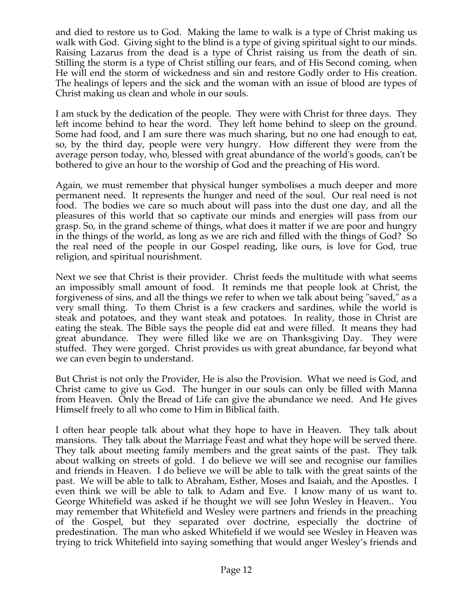and died to restore us to God. Making the lame to walk is a type of Christ making us walk with God. Giving sight to the blind is a type of giving spiritual sight to our minds. Raising Lazarus from the dead is a type of Christ raising us from the death of sin. Stilling the storm is a type of Christ stilling our fears, and of His Second coming, when He will end the storm of wickedness and sin and restore Godly order to His creation. The healings of lepers and the sick and the woman with an issue of blood are types of Christ making us clean and whole in our souls.

I am stuck by the dedication of the people. They were with Christ for three days. They left income behind to hear the word. They left home behind to sleep on the ground. Some had food, and I am sure there was much sharing, but no one had enough to eat, so, by the third day, people were very hungry. How different they were from the average person today, who, blessed with great abundance of the world's goods, can't be bothered to give an hour to the worship of God and the preaching of His word.

Again, we must remember that physical hunger symbolises a much deeper and more permanent need. It represents the hunger and need of the soul. Our real need is not food. The bodies we care so much about will pass into the dust one day, and all the pleasures of this world that so captivate our minds and energies will pass from our grasp. So, in the grand scheme of things, what does it matter if we are poor and hungry in the things of the world, as long as we are rich and filled with the things of God? So the real need of the people in our Gospel reading, like ours, is love for God, true religion, and spiritual nourishment.

Next we see that Christ is their provider. Christ feeds the multitude with what seems an impossibly small amount of food. It reminds me that people look at Christ, the forgiveness of sins, and all the things we refer to when we talk about being "saved," as a very small thing. To them Christ is a few crackers and sardines, while the world is steak and potatoes, and they want steak and potatoes. In reality, those in Christ are eating the steak. The Bible says the people did eat and were filled. It means they had great abundance. They were filled like we are on Thanksgiving Day. They were stuffed. They were gorged. Christ provides us with great abundance, far beyond what we can even begin to understand.

But Christ is not only the Provider, He is also the Provision. What we need is God, and Christ came to give us God. The hunger in our souls can only be filled with Manna from Heaven. Only the Bread of Life can give the abundance we need. And He gives Himself freely to all who come to Him in Biblical faith.

I often hear people talk about what they hope to have in Heaven. They talk about mansions. They talk about the Marriage Feast and what they hope will be served there. They talk about meeting family members and the great saints of the past. They talk about walking on streets of gold. I do believe we will see and recognise our families and friends in Heaven. I do believe we will be able to talk with the great saints of the past. We will be able to talk to Abraham, Esther, Moses and Isaiah, and the Apostles. I even think we will be able to talk to Adam and Eve. I know many of us want to. George Whitefield was asked if he thought we will see John Wesley in Heaven.. You may remember that Whitefield and Wesley were partners and friends in the preaching of the Gospel, but they separated over doctrine, especially the doctrine of predestination. The man who asked Whitefield if we would see Wesley in Heaven was trying to trick Whitefield into saying something that would anger Wesley's friends and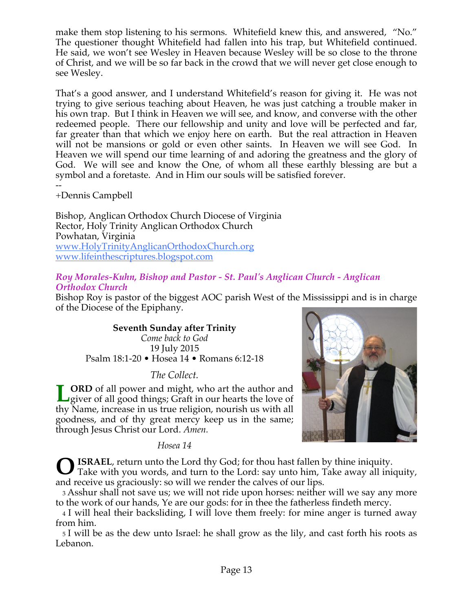make them stop listening to his sermons. Whitefield knew this, and answered, "No." The questioner thought Whitefield had fallen into his trap, but Whitefield continued. He said, we won't see Wesley in Heaven because Wesley will be so close to the throne of Christ, and we will be so far back in the crowd that we will never get close enough to see Wesley.

That's a good answer, and I understand Whitefield's reason for giving it. He was not trying to give serious teaching about Heaven, he was just catching a trouble maker in his own trap. But I think in Heaven we will see, and know, and converse with the other redeemed people. There our fellowship and unity and love will be perfected and far, far greater than that which we enjoy here on earth. But the real attraction in Heaven will not be mansions or gold or even other saints. In Heaven we will see God. In Heaven we will spend our time learning of and adoring the greatness and the glory of God. We will see and know the One, of whom all these earthly blessing are but a symbol and a foretaste. And in Him our souls will be satisfied forever. --

+Dennis Campbell

Bishop, Anglican Orthodox Church Diocese of Virginia Rector, Holy Trinity Anglican Orthodox Church Powhatan, Virginia www.HolyTrinityAnglicanOrthodoxChurch.org www.lifeinthescriptures.blogspot.com

### *Roy Morales-Kuhn, Bishop and Pastor - St. Paul's Anglican Church - Anglican Orthodox Church*

Bishop Roy is pastor of the biggest AOC parish West of the Mississippi and is in charge of the Diocese of the Epiphany.

**Seventh Sunday after Trinity** *Come back to God* 19 July 2015 Psalm 18:1-20 • Hosea 14 • Romans 6:12-18

*The Collect.*

**ORD** of all power and might, who art the author and giver of all good things; Graft in our hearts the love of thy Name, increase in us true religion, nourish us with all goodness, and of thy great mercy keep us in the same; through Jesus Christ our Lord. *Amen.* **L**

*Hosea 14*



**O** ISRAEL, return unto the Lord thy God; for thou hast fallen by thine iniquity.<br>Take with you words, and turn to the Lord: say unto him, Take away all ini Take with you words, and turn to the Lord: say unto him, Take away all iniquity, and receive us graciously: so will we render the calves of our lips.

3 Asshur shall not save us; we will not ride upon horses: neither will we say any more to the work of our hands, Ye are our gods: for in thee the fatherless findeth mercy.

4 I will heal their backsliding, I will love them freely: for mine anger is turned away from him.

5 I will be as the dew unto Israel: he shall grow as the lily, and cast forth his roots as Lebanon.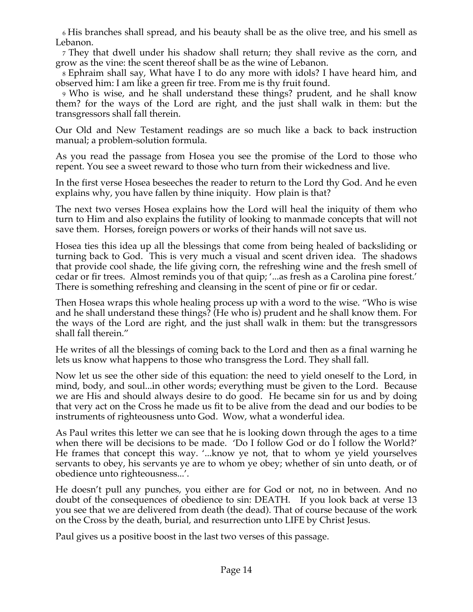6 His branches shall spread, and his beauty shall be as the olive tree, and his smell as Lebanon.

7 They that dwell under his shadow shall return; they shall revive as the corn, and grow as the vine: the scent thereof shall be as the wine of Lebanon.

8 Ephraim shall say, What have I to do any more with idols? I have heard him, and observed him: I am like a green fir tree. From me is thy fruit found.

9 Who is wise, and he shall understand these things? prudent, and he shall know them? for the ways of the Lord are right, and the just shall walk in them: but the transgressors shall fall therein.

Our Old and New Testament readings are so much like a back to back instruction manual; a problem-solution formula.

As you read the passage from Hosea you see the promise of the Lord to those who repent. You see a sweet reward to those who turn from their wickedness and live.

In the first verse Hosea beseeches the reader to return to the Lord thy God. And he even explains why, you have fallen by thine iniquity. How plain is that?

The next two verses Hosea explains how the Lord will heal the iniquity of them who turn to Him and also explains the futility of looking to manmade concepts that will not save them. Horses, foreign powers or works of their hands will not save us.

Hosea ties this idea up all the blessings that come from being healed of backsliding or turning back to God. This is very much a visual and scent driven idea. The shadows that provide cool shade, the life giving corn, the refreshing wine and the fresh smell of cedar or fir trees. Almost reminds you of that quip; '...as fresh as a Carolina pine forest.' There is something refreshing and cleansing in the scent of pine or fir or cedar.

Then Hosea wraps this whole healing process up with a word to the wise. "Who is wise and he shall understand these things? (He who is) prudent and he shall know them. For the ways of the Lord are right, and the just shall walk in them: but the transgressors shall fall therein."

He writes of all the blessings of coming back to the Lord and then as a final warning he lets us know what happens to those who transgress the Lord. They shall fall.

Now let us see the other side of this equation: the need to yield oneself to the Lord, in mind, body, and soul...in other words; everything must be given to the Lord. Because we are His and should always desire to do good. He became sin for us and by doing that very act on the Cross he made us fit to be alive from the dead and our bodies to be instruments of righteousness unto God. Wow, what a wonderful idea.

As Paul writes this letter we can see that he is looking down through the ages to a time when there will be decisions to be made. 'Do I follow God or do I follow the World?' He frames that concept this way. '...know ye not, that to whom ye yield yourselves servants to obey, his servants ye are to whom ye obey; whether of sin unto death, or of obedience unto righteousness...'.

He doesn't pull any punches, you either are for God or not, no in between. And no doubt of the consequences of obedience to sin: DEATH. If you look back at verse 13 you see that we are delivered from death (the dead). That of course because of the work on the Cross by the death, burial, and resurrection unto LIFE by Christ Jesus.

Paul gives us a positive boost in the last two verses of this passage.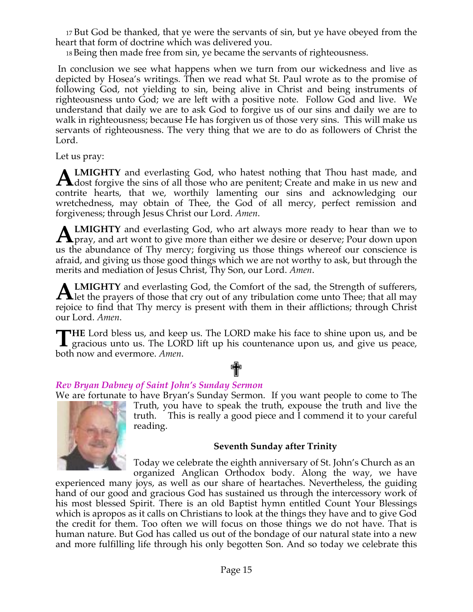17 But God be thanked, that ye were the servants of sin, but ye have obeyed from the heart that form of doctrine which was delivered you.

18 Being then made free from sin, ye became the servants of righteousness.

 In conclusion we see what happens when we turn from our wickedness and live as depicted by Hosea's writings. Then we read what St. Paul wrote as to the promise of following God, not yielding to sin, being alive in Christ and being instruments of righteousness unto God; we are left with a positive note. Follow God and live. We understand that daily we are to ask God to forgive us of our sins and daily we are to walk in righteousness; because He has forgiven us of those very sins. This will make us servants of righteousness. The very thing that we are to do as followers of Christ the Lord.

Let us pray:

**LMIGHTY** and everlasting God, who hatest nothing that Thou hast made, and **ALMIGHTY** and everlasting God, who hatest nothing that Thou hast made, and dost forgive the sins of all those who are penitent; Create and make in us new and contrite hearts, that we, worthily lamenting our sins and acknowledging our wretchedness, may obtain of Thee, the God of all mercy, perfect remission and forgiveness; through Jesus Christ our Lord. *Amen*.

**LMIGHTY** and everlasting God, who art always more ready to hear than we to **ALMIGHTY** and everlasting God, who art always more ready to hear than we to pray, and art wont to give more than either we desire or deserve; Pour down upon us the abundance of Thy mercy; forgiving us those things whereof our conscience is afraid, and giving us those good things which we are not worthy to ask, but through the merits and mediation of Jesus Christ, Thy Son, our Lord. *Amen*.

**LMIGHTY** and everlasting God, the Comfort of the sad, the Strength of sufferers, **ALMIGHTY** and everlasting God, the Comfort of the sad, the Strength of sufferers,<br>let the prayers of those that cry out of any tribulation come unto Thee; that all may rejoice to find that Thy mercy is present with them in their afflictions; through Christ our Lord. *Amen*.

**HE** Lord bless us, and keep us. The LORD make his face to shine upon us, and be gracious unto us. The LORD lift up his countenance upon us, and give us peace,  $\blacktriangle$  gracious unto us. The LORD lift up his countenance upon us, and give us peace, both now and evermore. *Amen*.

# ✟

### *Rev Bryan Dabney of Saint John's Sunday Sermon*

We are fortunate to have Bryan's Sunday Sermon. If you want people to come to The



Truth, you have to speak the truth, expouse the truth and live the truth. This is really a good piece and I commend it to your careful reading.

### **Seventh Sunday after Trinity**

Today we celebrate the eighth anniversary of St. John's Church as an organized Anglican Orthodox body. Along the way, we have

experienced many joys, as well as our share of heartaches. Nevertheless, the guiding hand of our good and gracious God has sustained us through the intercessory work of his most blessed Spirit. There is an old Baptist hymn entitled Count Your Blessings which is apropos as it calls on Christians to look at the things they have and to give God the credit for them. Too often we will focus on those things we do not have. That is human nature. But God has called us out of the bondage of our natural state into a new and more fulfilling life through his only begotten Son. And so today we celebrate this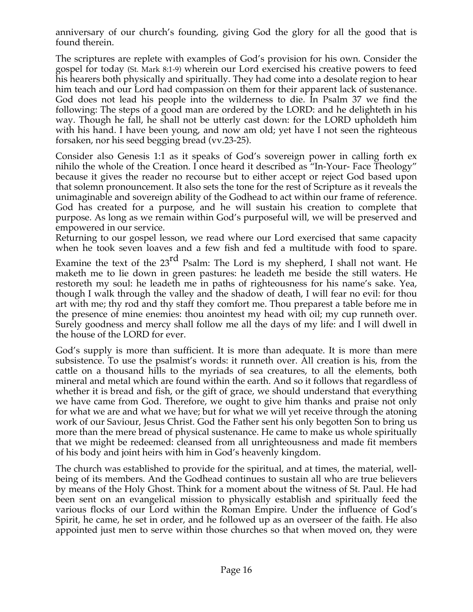anniversary of our church's founding, giving God the glory for all the good that is found therein.

The scriptures are replete with examples of God's provision for his own. Consider the gospel for today (St. Mark 8:1-9) wherein our Lord exercised his creative powers to feed his hearers both physically and spiritually. They had come into a desolate region to hear him teach and our Lord had compassion on them for their apparent lack of sustenance. God does not lead his people into the wilderness to die. In Psalm 37 we find the following: The steps of a good man are ordered by the LORD: and he delighteth in his way. Though he fall, he shall not be utterly cast down: for the LORD upholdeth him with his hand. I have been young, and now am old; yet have I not seen the righteous forsaken, nor his seed begging bread (vv.23-25).

Consider also Genesis 1:1 as it speaks of God's sovereign power in calling forth ex nihilo the whole of the Creation. I once heard it described as "In-Your- Face Theology" because it gives the reader no recourse but to either accept or reject God based upon that solemn pronouncement. It also sets the tone for the rest of Scripture as it reveals the unimaginable and sovereign ability of the Godhead to act within our frame of reference. God has created for a purpose, and he will sustain his creation to complete that purpose. As long as we remain within God's purposeful will, we will be preserved and empowered in our service.

Returning to our gospel lesson, we read where our Lord exercised that same capacity when he took seven loaves and a few fish and fed a multitude with food to spare.

Examine the text of the  $23^{rd}$  Psalm: The Lord is my shepherd, I shall not want. He maketh me to lie down in green pastures: he leadeth me beside the still waters. He restoreth my soul: he leadeth me in paths of righteousness for his name's sake. Yea, though I walk through the valley and the shadow of death, I will fear no evil: for thou art with me; thy rod and thy staff they comfort me. Thou preparest a table before me in the presence of mine enemies: thou anointest my head with oil; my cup runneth over. Surely goodness and mercy shall follow me all the days of my life: and I will dwell in the house of the LORD for ever.

God's supply is more than sufficient. It is more than adequate. It is more than mere subsistence. To use the psalmist's words: it runneth over. All creation is his, from the cattle on a thousand hills to the myriads of sea creatures, to all the elements, both mineral and metal which are found within the earth. And so it follows that regardless of whether it is bread and fish, or the gift of grace, we should understand that everything we have came from God. Therefore, we ought to give him thanks and praise not only for what we are and what we have; but for what we will yet receive through the atoning work of our Saviour, Jesus Christ. God the Father sent his only begotten Son to bring us more than the mere bread of physical sustenance. He came to make us whole spiritually that we might be redeemed: cleansed from all unrighteousness and made fit members of his body and joint heirs with him in God's heavenly kingdom.

The church was established to provide for the spiritual, and at times, the material, wellbeing of its members. And the Godhead continues to sustain all who are true believers by means of the Holy Ghost. Think for a moment about the witness of St. Paul. He had been sent on an evangelical mission to physically establish and spiritually feed the various flocks of our Lord within the Roman Empire. Under the influence of God's Spirit, he came, he set in order, and he followed up as an overseer of the faith. He also appointed just men to serve within those churches so that when moved on, they were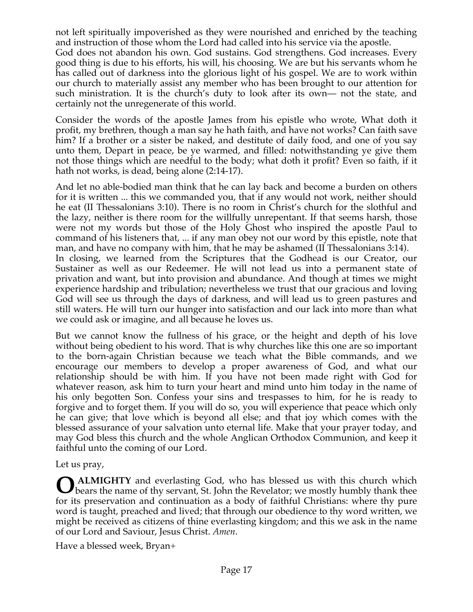not left spiritually impoverished as they were nourished and enriched by the teaching and instruction of those whom the Lord had called into his service via the apostle.

God does not abandon his own. God sustains. God strengthens. God increases. Every good thing is due to his efforts, his will, his choosing. We are but his servants whom he has called out of darkness into the glorious light of his gospel. We are to work within our church to materially assist any member who has been brought to our attention for such ministration. It is the church's duty to look after its own— not the state, and certainly not the unregenerate of this world.

Consider the words of the apostle James from his epistle who wrote, What doth it profit, my brethren, though a man say he hath faith, and have not works? Can faith save him? If a brother or a sister be naked, and destitute of daily food, and one of you say unto them, Depart in peace, be ye warmed, and filled: notwithstanding ye give them not those things which are needful to the body; what doth it profit? Even so faith, if it hath not works, is dead, being alone (2:14-17).

And let no able-bodied man think that he can lay back and become a burden on others for it is written ... this we commanded you, that if any would not work, neither should he eat (II Thessalonians 3:10). There is no room in Christ's church for the slothful and the lazy, neither is there room for the willfully unrepentant. If that seems harsh, those were not my words but those of the Holy Ghost who inspired the apostle Paul to command of his listeners that, ... if any man obey not our word by this epistle, note that man, and have no company with him, that he may be ashamed (II Thessalonians 3:14). In closing, we learned from the Scriptures that the Godhead is our Creator, our Sustainer as well as our Redeemer. He will not lead us into a permanent state of privation and want, but into provision and abundance. And though at times we might experience hardship and tribulation; nevertheless we trust that our gracious and loving God will see us through the days of darkness, and will lead us to green pastures and still waters. He will turn our hunger into satisfaction and our lack into more than what we could ask or imagine, and all because he loves us.

But we cannot know the fullness of his grace, or the height and depth of his love without being obedient to his word. That is why churches like this one are so important to the born-again Christian because we teach what the Bible commands, and we encourage our members to develop a proper awareness of God, and what our relationship should be with him. If you have not been made right with God for whatever reason, ask him to turn your heart and mind unto him today in the name of his only begotten Son. Confess your sins and trespasses to him, for he is ready to forgive and to forget them. If you will do so, you will experience that peace which only he can give; that love which is beyond all else; and that joy which comes with the blessed assurance of your salvation unto eternal life. Make that your prayer today, and may God bless this church and the whole Anglican Orthodox Communion, and keep it faithful unto the coming of our Lord.

Let us pray,

 **ALMIGHTY** and everlasting God, who has blessed us with this church which **O** ALMIGHTY and everlasting God, who has blessed us with this church which bears the name of thy servant, St. John the Revelator; we mostly humbly thank thee for its preservation and continuation as a body of faithful Christians: where thy pure word is taught, preached and lived; that through our obedience to thy word written, we might be received as citizens of thine everlasting kingdom; and this we ask in the name of our Lord and Saviour, Jesus Christ. *Amen*.

Have a blessed week, Bryan+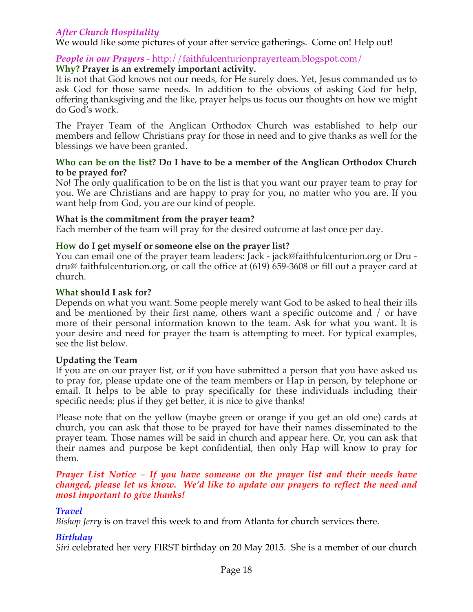### *After Church Hospitality*

We would like some pictures of your after service gatherings. Come on! Help out!

#### *People in our Prayers* - http://faithfulcenturionprayerteam.blogspot.com/ **Why? Prayer is an extremely important activity.**

It is not that God knows not our needs, for He surely does. Yet, Jesus commanded us to ask God for those same needs. In addition to the obvious of asking God for help, offering thanksgiving and the like, prayer helps us focus our thoughts on how we might do God's work.

The Prayer Team of the Anglican Orthodox Church was established to help our members and fellow Christians pray for those in need and to give thanks as well for the blessings we have been granted.

#### **Who can be on the list? Do I have to be a member of the Anglican Orthodox Church to be prayed for?**

No! The only qualification to be on the list is that you want our prayer team to pray for you. We are Christians and are happy to pray for you, no matter who you are. If you want help from God, you are our kind of people.

### **What is the commitment from the prayer team?**

Each member of the team will pray for the desired outcome at last once per day.

### **How do I get myself or someone else on the prayer list?**

You can email one of the prayer team leaders: Jack - jack@faithfulcenturion.org or Dru dru@ faithfulcenturion.org, or call the office at (619) 659-3608 or fill out a prayer card at church.

### **What should I ask for?**

Depends on what you want. Some people merely want God to be asked to heal their ills and be mentioned by their first name, others want a specific outcome and / or have more of their personal information known to the team. Ask for what you want. It is your desire and need for prayer the team is attempting to meet. For typical examples, see the list below.

### **Updating the Team**

If you are on our prayer list, or if you have submitted a person that you have asked us to pray for, please update one of the team members or Hap in person, by telephone or email. It helps to be able to pray specifically for these individuals including their specific needs; plus if they get better, it is nice to give thanks!

Please note that on the yellow (maybe green or orange if you get an old one) cards at church, you can ask that those to be prayed for have their names disseminated to the prayer team. Those names will be said in church and appear here. Or, you can ask that their names and purpose be kept confidential, then only Hap will know to pray for them.

### *Prayer List Notice – If you have someone on the prayer list and their needs have changed, please let us know. We'd like to update our prayers to reflect the need and most important to give thanks!*

### *Travel*

*Bishop Jerry* is on travel this week to and from Atlanta for church services there.

### *Birthday*

*Siri* celebrated her very FIRST birthday on 20 May 2015. She is a member of our church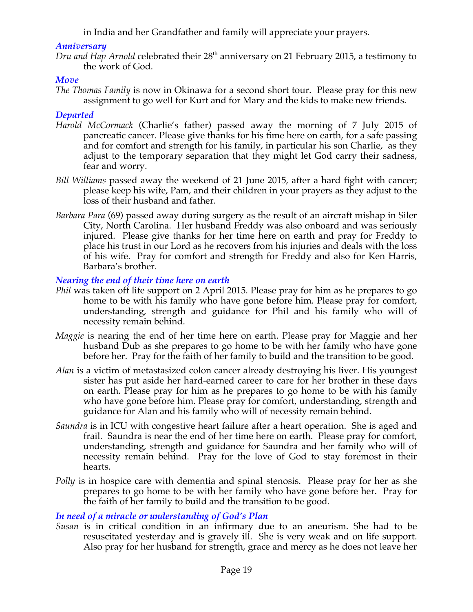in India and her Grandfather and family will appreciate your prayers.

### *Anniversary*

*Dru and Hap Arnold* celebrated their 28<sup>th</sup> anniversary on 21 February 2015, a testimony to the work of God.

### *Move*

*The Thomas Family* is now in Okinawa for a second short tour. Please pray for this new assignment to go well for Kurt and for Mary and the kids to make new friends.

### *Departed*

- *Harold McCormack* (Charlie's father) passed away the morning of 7 July 2015 of pancreatic cancer. Please give thanks for his time here on earth, for a safe passing and for comfort and strength for his family, in particular his son Charlie, as they adjust to the temporary separation that they might let God carry their sadness, fear and worry.
- *Bill Williams* passed away the weekend of 21 June 2015, after a hard fight with cancer; please keep his wife, Pam, and their children in your prayers as they adjust to the loss of their husband and father.
- *Barbara Para* (69) passed away during surgery as the result of an aircraft mishap in Siler City, North Carolina. Her husband Freddy was also onboard and was seriously injured. Please give thanks for her time here on earth and pray for Freddy to place his trust in our Lord as he recovers from his injuries and deals with the loss of his wife. Pray for comfort and strength for Freddy and also for Ken Harris, Barbara's brother.

### *Nearing the end of their time here on earth*

- *Phil* was taken off life support on 2 April 2015. Please pray for him as he prepares to go home to be with his family who have gone before him. Please pray for comfort, understanding, strength and guidance for Phil and his family who will of necessity remain behind.
- *Maggie* is nearing the end of her time here on earth. Please pray for Maggie and her husband Dub as she prepares to go home to be with her family who have gone before her. Pray for the faith of her family to build and the transition to be good.
- *Alan* is a victim of metastasized colon cancer already destroying his liver. His youngest sister has put aside her hard-earned career to care for her brother in these days on earth. Please pray for him as he prepares to go home to be with his family who have gone before him. Please pray for comfort, understanding, strength and guidance for Alan and his family who will of necessity remain behind.
- *Saundra* is in ICU with congestive heart failure after a heart operation. She is aged and frail. Saundra is near the end of her time here on earth. Please pray for comfort, understanding, strength and guidance for Saundra and her family who will of necessity remain behind. Pray for the love of God to stay foremost in their hearts.
- *Polly* is in hospice care with dementia and spinal stenosis. Please pray for her as she prepares to go home to be with her family who have gone before her. Pray for the faith of her family to build and the transition to be good.

### *In need of a miracle or understanding of God's Plan*

*Susan* is in critical condition in an infirmary due to an aneurism. She had to be resuscitated yesterday and is gravely ill. She is very weak and on life support. Also pray for her husband for strength, grace and mercy as he does not leave her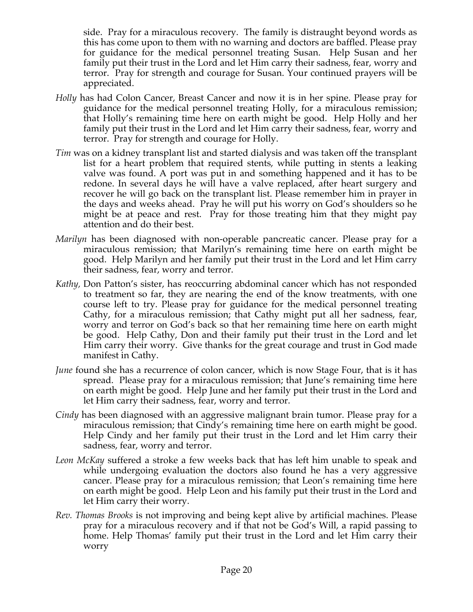side. Pray for a miraculous recovery. The family is distraught beyond words as this has come upon to them with no warning and doctors are baffled. Please pray for guidance for the medical personnel treating Susan. Help Susan and her family put their trust in the Lord and let Him carry their sadness, fear, worry and terror. Pray for strength and courage for Susan. Your continued prayers will be appreciated.

- *Holly* has had Colon Cancer, Breast Cancer and now it is in her spine. Please pray for guidance for the medical personnel treating Holly, for a miraculous remission; that Holly's remaining time here on earth might be good. Help Holly and her family put their trust in the Lord and let Him carry their sadness, fear, worry and terror. Pray for strength and courage for Holly.
- *Tim* was on a kidney transplant list and started dialysis and was taken off the transplant list for a heart problem that required stents, while putting in stents a leaking valve was found. A port was put in and something happened and it has to be redone. In several days he will have a valve replaced, after heart surgery and recover he will go back on the transplant list. Please remember him in prayer in the days and weeks ahead. Pray he will put his worry on God's shoulders so he might be at peace and rest. Pray for those treating him that they might pay attention and do their best.
- *Marilyn* has been diagnosed with non-operable pancreatic cancer. Please pray for a miraculous remission; that Marilyn's remaining time here on earth might be good. Help Marilyn and her family put their trust in the Lord and let Him carry their sadness, fear, worry and terror.
- *Kathy,* Don Patton's sister, has reoccurring abdominal cancer which has not responded to treatment so far, they are nearing the end of the know treatments, with one course left to try. Please pray for guidance for the medical personnel treating Cathy, for a miraculous remission; that Cathy might put all her sadness, fear, worry and terror on God's back so that her remaining time here on earth might be good. Help Cathy, Don and their family put their trust in the Lord and let Him carry their worry. Give thanks for the great courage and trust in God made manifest in Cathy.
- *June* found she has a recurrence of colon cancer, which is now Stage Four, that is it has spread. Please pray for a miraculous remission; that June's remaining time here on earth might be good. Help June and her family put their trust in the Lord and let Him carry their sadness, fear, worry and terror.
- *Cindy* has been diagnosed with an aggressive malignant brain tumor. Please pray for a miraculous remission; that Cindy's remaining time here on earth might be good. Help Cindy and her family put their trust in the Lord and let Him carry their sadness, fear, worry and terror.
- *Leon McKay* suffered a stroke a few weeks back that has left him unable to speak and while undergoing evaluation the doctors also found he has a very aggressive cancer. Please pray for a miraculous remission; that Leon's remaining time here on earth might be good. Help Leon and his family put their trust in the Lord and let Him carry their worry.
- *Rev. Thomas Brooks* is not improving and being kept alive by artificial machines. Please pray for a miraculous recovery and if that not be God's Will, a rapid passing to home. Help Thomas' family put their trust in the Lord and let Him carry their worry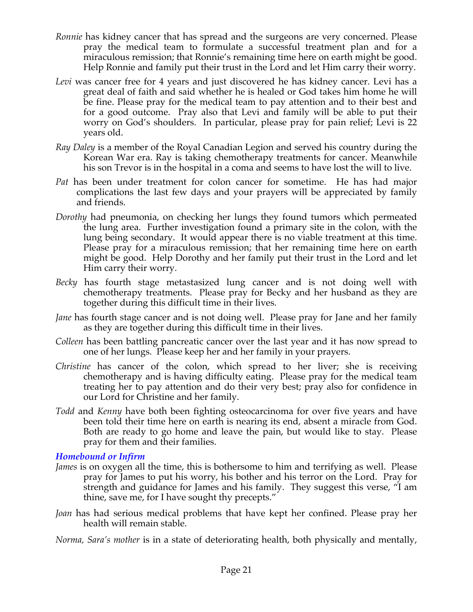- *Ronnie* has kidney cancer that has spread and the surgeons are very concerned. Please pray the medical team to formulate a successful treatment plan and for a miraculous remission; that Ronnie's remaining time here on earth might be good. Help Ronnie and family put their trust in the Lord and let Him carry their worry.
- *Levi* was cancer free for 4 years and just discovered he has kidney cancer. Levi has a great deal of faith and said whether he is healed or God takes him home he will be fine. Please pray for the medical team to pay attention and to their best and for a good outcome. Pray also that Levi and family will be able to put their worry on God's shoulders. In particular, please pray for pain relief; Levi is 22 years old.
- *Ray Daley* is a member of the Royal Canadian Legion and served his country during the Korean War era. Ray is taking chemotherapy treatments for cancer. Meanwhile his son Trevor is in the hospital in a coma and seems to have lost the will to live.
- *Pat* has been under treatment for colon cancer for sometime. He has had major complications the last few days and your prayers will be appreciated by family and friends.
- *Dorothy* had pneumonia, on checking her lungs they found tumors which permeated the lung area. Further investigation found a primary site in the colon, with the lung being secondary. It would appear there is no viable treatment at this time. Please pray for a miraculous remission; that her remaining time here on earth might be good. Help Dorothy and her family put their trust in the Lord and let Him carry their worry.
- *Becky* has fourth stage metastasized lung cancer and is not doing well with chemotherapy treatments. Please pray for Becky and her husband as they are together during this difficult time in their lives.
- *Jane* has fourth stage cancer and is not doing well. Please pray for Jane and her family as they are together during this difficult time in their lives.
- *Colleen* has been battling pancreatic cancer over the last year and it has now spread to one of her lungs. Please keep her and her family in your prayers.
- *Christine* has cancer of the colon, which spread to her liver; she is receiving chemotherapy and is having difficulty eating. Please pray for the medical team treating her to pay attention and do their very best; pray also for confidence in our Lord for Christine and her family.
- *Todd* and *Kenny* have both been fighting osteocarcinoma for over five years and have been told their time here on earth is nearing its end, absent a miracle from God. Both are ready to go home and leave the pain, but would like to stay. Please pray for them and their families.

### *Homebound or Infirm*

- *James* is on oxygen all the time, this is bothersome to him and terrifying as well. Please pray for James to put his worry, his bother and his terror on the Lord. Pray for strength and guidance for James and his family. They suggest this verse, "I am thine, save me, for I have sought thy precepts."
- *Joan* has had serious medical problems that have kept her confined. Please pray her health will remain stable.
- *Norma, Sara's mother* is in a state of deteriorating health, both physically and mentally,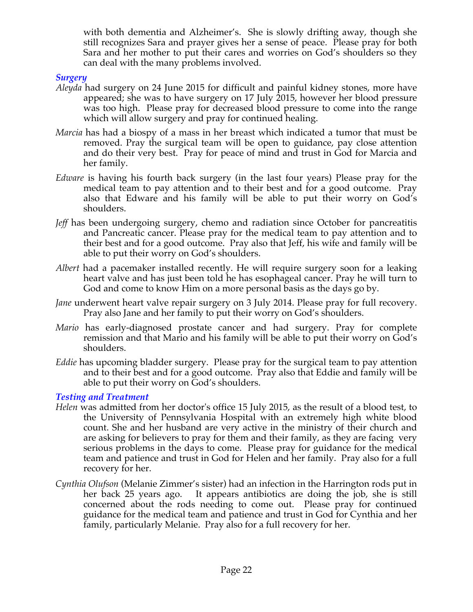with both dementia and Alzheimer's. She is slowly drifting away, though she still recognizes Sara and prayer gives her a sense of peace. Please pray for both Sara and her mother to put their cares and worries on God's shoulders so they can deal with the many problems involved.

### *Surgery*

- *Aleyda* had surgery on 24 June 2015 for difficult and painful kidney stones, more have appeared; she was to have surgery on 17 July 2015, however her blood pressure was too high. Please pray for decreased blood pressure to come into the range which will allow surgery and pray for continued healing.
- *Marcia* has had a biospy of a mass in her breast which indicated a tumor that must be removed. Pray the surgical team will be open to guidance, pay close attention and do their very best. Pray for peace of mind and trust in God for Marcia and her family.
- *Edware* is having his fourth back surgery (in the last four years) Please pray for the medical team to pay attention and to their best and for a good outcome. Pray also that Edware and his family will be able to put their worry on God's shoulders.
- *Jeff* has been undergoing surgery, chemo and radiation since October for pancreatitis and Pancreatic cancer. Please pray for the medical team to pay attention and to their best and for a good outcome. Pray also that Jeff, his wife and family will be able to put their worry on God's shoulders.
- *Albert* had a pacemaker installed recently. He will require surgery soon for a leaking heart valve and has just been told he has esophageal cancer. Pray he will turn to God and come to know Him on a more personal basis as the days go by.
- *Jane* underwent heart valve repair surgery on 3 July 2014. Please pray for full recovery. Pray also Jane and her family to put their worry on God's shoulders.
- *Mario* has early-diagnosed prostate cancer and had surgery. Pray for complete remission and that Mario and his family will be able to put their worry on God's shoulders.
- *Eddie* has upcoming bladder surgery. Please pray for the surgical team to pay attention and to their best and for a good outcome. Pray also that Eddie and family will be able to put their worry on God's shoulders.

### *Testing and Treatment*

- *Helen* was admitted from her doctor's office 15 July 2015, as the result of a blood test, to the University of Pennsylvania Hospital with an extremely high white blood count. She and her husband are very active in the ministry of their church and are asking for believers to pray for them and their family, as they are facing very serious problems in the days to come. Please pray for guidance for the medical team and patience and trust in God for Helen and her family. Pray also for a full recovery for her.
- *Cynthia Olufson* (Melanie Zimmer's sister) had an infection in the Harrington rods put in her back 25 years ago. It appears antibiotics are doing the job, she is still concerned about the rods needing to come out. Please pray for continued guidance for the medical team and patience and trust in God for Cynthia and her family, particularly Melanie. Pray also for a full recovery for her.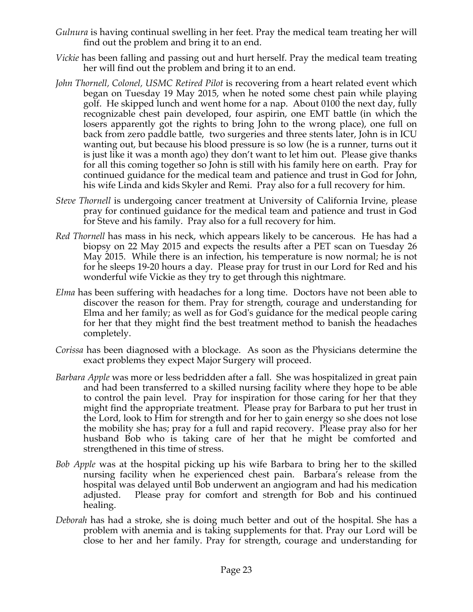- *Gulnura* is having continual swelling in her feet. Pray the medical team treating her will find out the problem and bring it to an end.
- *Vickie* has been falling and passing out and hurt herself. Pray the medical team treating her will find out the problem and bring it to an end.
- *John Thornell, Colonel, USMC Retired Pilot* is recovering from a heart related event which began on Tuesday 19 May 2015, when he noted some chest pain while playing golf. He skipped lunch and went home for a nap. About 0100 the next day, fully recognizable chest pain developed, four aspirin, one EMT battle (in which the losers apparently got the rights to bring John to the wrong place), one full on back from zero paddle battle, two surgeries and three stents later, John is in ICU wanting out, but because his blood pressure is so low (he is a runner, turns out it is just like it was a month ago) they don't want to let him out. Please give thanks for all this coming together so John is still with his family here on earth. Pray for continued guidance for the medical team and patience and trust in God for John, his wife Linda and kids Skyler and Remi. Pray also for a full recovery for him.
- *Steve Thornell* is undergoing cancer treatment at University of California Irvine, please pray for continued guidance for the medical team and patience and trust in God for Steve and his family. Pray also for a full recovery for him.
- *Red Thornell* has mass in his neck, which appears likely to be cancerous. He has had a biopsy on 22 May 2015 and expects the results after a PET scan on Tuesday 26 May 2015. While there is an infection, his temperature is now normal; he is not for he sleeps 19-20 hours a day. Please pray for trust in our Lord for Red and his wonderful wife Vickie as they try to get through this nightmare.
- *Elma* has been suffering with headaches for a long time. Doctors have not been able to discover the reason for them. Pray for strength, courage and understanding for Elma and her family; as well as for God's guidance for the medical people caring for her that they might find the best treatment method to banish the headaches completely.
- *Corissa* has been diagnosed with a blockage. As soon as the Physicians determine the exact problems they expect Major Surgery will proceed.
- *Barbara Apple* was more or less bedridden after a fall. She was hospitalized in great pain and had been transferred to a skilled nursing facility where they hope to be able to control the pain level. Pray for inspiration for those caring for her that they might find the appropriate treatment. Please pray for Barbara to put her trust in the Lord, look to Him for strength and for her to gain energy so she does not lose the mobility she has; pray for a full and rapid recovery. Please pray also for her husband Bob who is taking care of her that he might be comforted and strengthened in this time of stress.
- *Bob Apple* was at the hospital picking up his wife Barbara to bring her to the skilled nursing facility when he experienced chest pain. Barbara's release from the hospital was delayed until Bob underwent an angiogram and had his medication adjusted. Please pray for comfort and strength for Bob and his continued healing.
- *Deborah* has had a stroke, she is doing much better and out of the hospital. She has a problem with anemia and is taking supplements for that. Pray our Lord will be close to her and her family. Pray for strength, courage and understanding for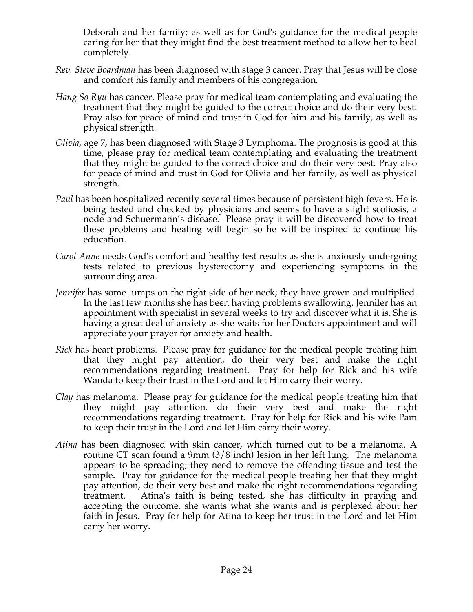Deborah and her family; as well as for God's guidance for the medical people caring for her that they might find the best treatment method to allow her to heal completely.

- *Rev. Steve Boardman* has been diagnosed with stage 3 cancer. Pray that Jesus will be close and comfort his family and members of his congregation*.*
- *Hang So Ryu* has cancer. Please pray for medical team contemplating and evaluating the treatment that they might be guided to the correct choice and do their very best. Pray also for peace of mind and trust in God for him and his family, as well as physical strength.
- *Olivia,* age 7, has been diagnosed with Stage 3 Lymphoma. The prognosis is good at this time, please pray for medical team contemplating and evaluating the treatment that they might be guided to the correct choice and do their very best. Pray also for peace of mind and trust in God for Olivia and her family, as well as physical strength.
- *Paul* has been hospitalized recently several times because of persistent high fevers. He is being tested and checked by physicians and seems to have a slight scoliosis, a node and Schuermann's disease. Please pray it will be discovered how to treat these problems and healing will begin so he will be inspired to continue his education.
- *Carol Anne* needs God's comfort and healthy test results as she is anxiously undergoing tests related to previous hysterectomy and experiencing symptoms in the surrounding area.
- *Jennifer* has some lumps on the right side of her neck; they have grown and multiplied. In the last few months she has been having problems swallowing. Jennifer has an appointment with specialist in several weeks to try and discover what it is. She is having a great deal of anxiety as she waits for her Doctors appointment and will appreciate your prayer for anxiety and health.
- *Rick* has heart problems. Please pray for guidance for the medical people treating him that they might pay attention, do their very best and make the right recommendations regarding treatment. Pray for help for Rick and his wife Wanda to keep their trust in the Lord and let Him carry their worry.
- *Clay* has melanoma. Please pray for guidance for the medical people treating him that they might pay attention, do their very best and make the right recommendations regarding treatment. Pray for help for Rick and his wife Pam to keep their trust in the Lord and let Him carry their worry.
- *Atina* has been diagnosed with skin cancer, which turned out to be a melanoma. A routine CT scan found a 9mm (3/8 inch) lesion in her left lung. The melanoma appears to be spreading; they need to remove the offending tissue and test the sample. Pray for guidance for the medical people treating her that they might pay attention, do their very best and make the right recommendations regarding treatment. Atina's faith is being tested, she has difficulty in praying and accepting the outcome, she wants what she wants and is perplexed about her faith in Jesus. Pray for help for Atina to keep her trust in the Lord and let Him carry her worry.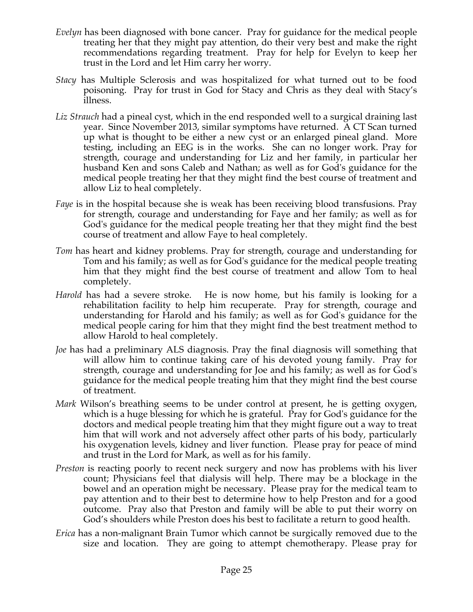- *Evelyn* has been diagnosed with bone cancer. Pray for guidance for the medical people treating her that they might pay attention, do their very best and make the right recommendations regarding treatment. Pray for help for Evelyn to keep her trust in the Lord and let Him carry her worry.
- *Stacy* has Multiple Sclerosis and was hospitalized for what turned out to be food poisoning. Pray for trust in God for Stacy and Chris as they deal with Stacy's illness.
- *Liz Strauch* had a pineal cyst, which in the end responded well to a surgical draining last year. Since November 2013, similar symptoms have returned. A CT Scan turned up what is thought to be either a new cyst or an enlarged pineal gland. More testing, including an EEG is in the works. She can no longer work. Pray for strength, courage and understanding for Liz and her family, in particular her husband Ken and sons Caleb and Nathan; as well as for God's guidance for the medical people treating her that they might find the best course of treatment and allow Liz to heal completely.
- *Faye* is in the hospital because she is weak has been receiving blood transfusions. Pray for strength, courage and understanding for Faye and her family; as well as for God's guidance for the medical people treating her that they might find the best course of treatment and allow Faye to heal completely.
- *Tom* has heart and kidney problems. Pray for strength, courage and understanding for Tom and his family; as well as for God's guidance for the medical people treating him that they might find the best course of treatment and allow Tom to heal completely.
- *Harold* has had a severe stroke. He is now home, but his family is looking for a rehabilitation facility to help him recuperate. Pray for strength, courage and understanding for Harold and his family; as well as for God's guidance for the medical people caring for him that they might find the best treatment method to allow Harold to heal completely.
- *Joe* has had a preliminary ALS diagnosis. Pray the final diagnosis will something that will allow him to continue taking care of his devoted young family. Pray for strength, courage and understanding for Joe and his family; as well as for God's guidance for the medical people treating him that they might find the best course of treatment.
- *Mark* Wilson's breathing seems to be under control at present, he is getting oxygen, which is a huge blessing for which he is grateful. Pray for God's guidance for the doctors and medical people treating him that they might figure out a way to treat him that will work and not adversely affect other parts of his body, particularly his oxygenation levels, kidney and liver function. Please pray for peace of mind and trust in the Lord for Mark, as well as for his family.
- *Preston* is reacting poorly to recent neck surgery and now has problems with his liver count; Physicians feel that dialysis will help. There may be a blockage in the bowel and an operation might be necessary. Please pray for the medical team to pay attention and to their best to determine how to help Preston and for a good outcome. Pray also that Preston and family will be able to put their worry on God's shoulders while Preston does his best to facilitate a return to good health.
- *Erica* has a non-malignant Brain Tumor which cannot be surgically removed due to the size and location. They are going to attempt chemotherapy. Please pray for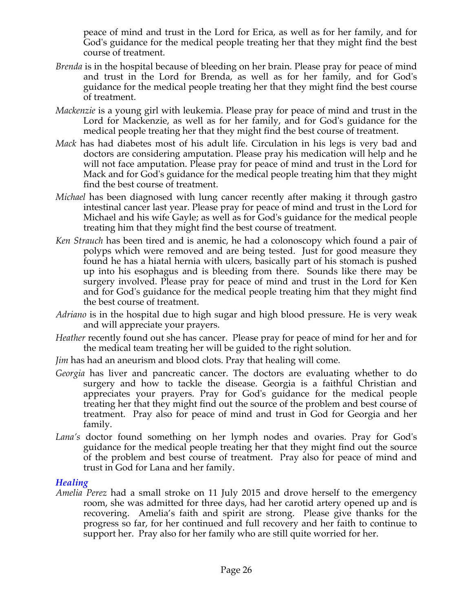peace of mind and trust in the Lord for Erica, as well as for her family, and for God's guidance for the medical people treating her that they might find the best course of treatment.

- *Brenda* is in the hospital because of bleeding on her brain. Please pray for peace of mind and trust in the Lord for Brenda, as well as for her family, and for God's guidance for the medical people treating her that they might find the best course of treatment.
- *Mackenzie* is a young girl with leukemia. Please pray for peace of mind and trust in the Lord for Mackenzie, as well as for her family, and for God's guidance for the medical people treating her that they might find the best course of treatment.
- *Mack* has had diabetes most of his adult life. Circulation in his legs is very bad and doctors are considering amputation. Please pray his medication will help and he will not face amputation. Please pray for peace of mind and trust in the Lord for Mack and for God's guidance for the medical people treating him that they might find the best course of treatment.
- *Michael* has been diagnosed with lung cancer recently after making it through gastro intestinal cancer last year. Please pray for peace of mind and trust in the Lord for Michael and his wife Gayle; as well as for God's guidance for the medical people treating him that they might find the best course of treatment.
- *Ken Strauch* has been tired and is anemic, he had a colonoscopy which found a pair of polyps which were removed and are being tested. Just for good measure they found he has a hiatal hernia with ulcers, basically part of his stomach is pushed up into his esophagus and is bleeding from there. Sounds like there may be surgery involved. Please pray for peace of mind and trust in the Lord for Ken and for God's guidance for the medical people treating him that they might find the best course of treatment.
- *Adriano* is in the hospital due to high sugar and high blood pressure. He is very weak and will appreciate your prayers.
- *Heather* recently found out she has cancer. Please pray for peace of mind for her and for the medical team treating her will be guided to the right solution.
- *Jim* has had an aneurism and blood clots. Pray that healing will come.
- *Georgia* has liver and pancreatic cancer. The doctors are evaluating whether to do surgery and how to tackle the disease. Georgia is a faithful Christian and appreciates your prayers. Pray for God's guidance for the medical people treating her that they might find out the source of the problem and best course of treatment. Pray also for peace of mind and trust in God for Georgia and her family.
- *Lana's* doctor found something on her lymph nodes and ovaries. Pray for God's guidance for the medical people treating her that they might find out the source of the problem and best course of treatment. Pray also for peace of mind and trust in God for Lana and her family.

### *Healing*

*Amelia Perez* had a small stroke on 11 July 2015 and drove herself to the emergency room, she was admitted for three days, had her carotid artery opened up and is recovering. Amelia's faith and spirit are strong. Please give thanks for the progress so far, for her continued and full recovery and her faith to continue to support her. Pray also for her family who are still quite worried for her.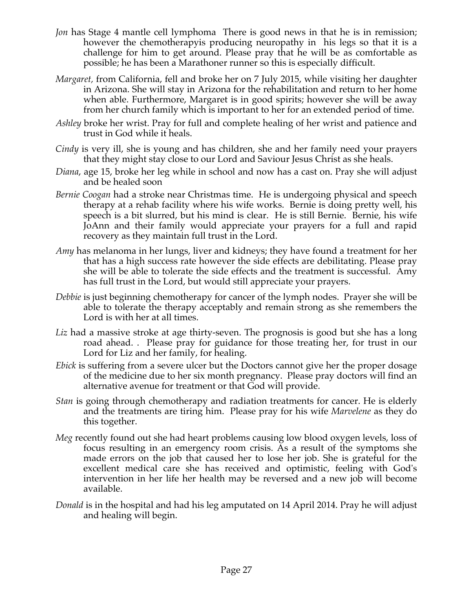- *Jon* has Stage 4 mantle cell lymphoma There is good news in that he is in remission; however the chemotherapyis producing neuropathy in his legs so that it is a challenge for him to get around. Please pray that he will be as comfortable as possible; he has been a Marathoner runner so this is especially difficult.
- *Margaret,* from California, fell and broke her on 7 July 2015, while visiting her daughter in Arizona. She will stay in Arizona for the rehabilitation and return to her home when able. Furthermore, Margaret is in good spirits; however she will be away from her church family which is important to her for an extended period of time.
- *Ashley* broke her wrist. Pray for full and complete healing of her wrist and patience and trust in God while it heals.
- *Cindy* is very ill, she is young and has children, she and her family need your prayers that they might stay close to our Lord and Saviour Jesus Christ as she heals.
- *Diana*, age 15, broke her leg while in school and now has a cast on. Pray she will adjust and be healed soon
- *Bernie Coogan* had a stroke near Christmas time. He is undergoing physical and speech therapy at a rehab facility where his wife works. Bernie is doing pretty well, his speech is a bit slurred, but his mind is clear. He is still Bernie. Bernie, his wife JoAnn and their family would appreciate your prayers for a full and rapid recovery as they maintain full trust in the Lord.
- *Amy* has melanoma in her lungs, liver and kidneys; they have found a treatment for her that has a high success rate however the side effects are debilitating. Please pray she will be able to tolerate the side effects and the treatment is successful. Amy has full trust in the Lord, but would still appreciate your prayers.
- *Debbie* is just beginning chemotherapy for cancer of the lymph nodes. Prayer she will be able to tolerate the therapy acceptably and remain strong as she remembers the Lord is with her at all times.
- Liz had a massive stroke at age thirty-seven. The prognosis is good but she has a long road ahead. . Please pray for guidance for those treating her, for trust in our Lord for Liz and her family, for healing.
- *Ebick* is suffering from a severe ulcer but the Doctors cannot give her the proper dosage of the medicine due to her six month pregnancy. Please pray doctors will find an alternative avenue for treatment or that God will provide.
- *Stan* is going through chemotherapy and radiation treatments for cancer. He is elderly and the treatments are tiring him. Please pray for his wife *Marvelene* as they do this together.
- *Meg* recently found out she had heart problems causing low blood oxygen levels, loss of focus resulting in an emergency room crisis. As a result of the symptoms she made errors on the job that caused her to lose her job. She is grateful for the excellent medical care she has received and optimistic, feeling with God's intervention in her life her health may be reversed and a new job will become available.
- *Donald* is in the hospital and had his leg amputated on 14 April 2014. Pray he will adjust and healing will begin.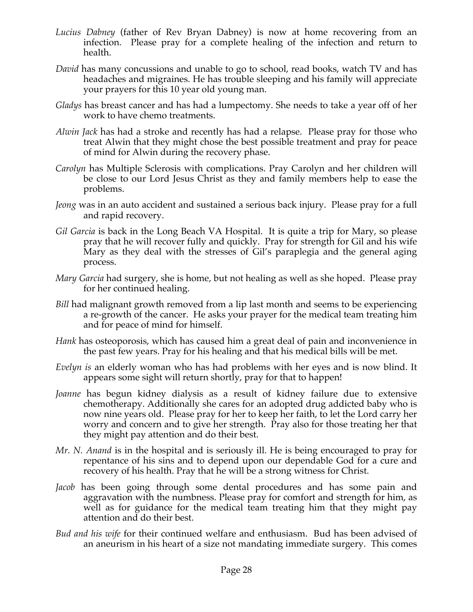- *Lucius Dabney* (father of Rev Bryan Dabney) is now at home recovering from an infection. Please pray for a complete healing of the infection and return to health.
- *David* has many concussions and unable to go to school, read books, watch TV and has headaches and migraines. He has trouble sleeping and his family will appreciate your prayers for this 10 year old young man.
- *Gladys* has breast cancer and has had a lumpectomy. She needs to take a year off of her work to have chemo treatments.
- *Alwin Jack* has had a stroke and recently has had a relapse. Please pray for those who treat Alwin that they might chose the best possible treatment and pray for peace of mind for Alwin during the recovery phase.
- *Carolyn* has Multiple Sclerosis with complications. Pray Carolyn and her children will be close to our Lord Jesus Christ as they and family members help to ease the problems.
- *Jeong* was in an auto accident and sustained a serious back injury. Please pray for a full and rapid recovery.
- *Gil Garcia* is back in the Long Beach VA Hospital. It is quite a trip for Mary, so please pray that he will recover fully and quickly. Pray for strength for Gil and his wife Mary as they deal with the stresses of Gil's paraplegia and the general aging process.
- *Mary Garcia* had surgery, she is home, but not healing as well as she hoped. Please pray for her continued healing.
- *Bill* had malignant growth removed from a lip last month and seems to be experiencing a re-growth of the cancer. He asks your prayer for the medical team treating him and for peace of mind for himself.
- *Hank* has osteoporosis, which has caused him a great deal of pain and inconvenience in the past few years. Pray for his healing and that his medical bills will be met.
- *Evelyn is* an elderly woman who has had problems with her eyes and is now blind. It appears some sight will return shortly, pray for that to happen!
- *Joanne* has begun kidney dialysis as a result of kidney failure due to extensive chemotherapy. Additionally she cares for an adopted drug addicted baby who is now nine years old. Please pray for her to keep her faith, to let the Lord carry her worry and concern and to give her strength. Pray also for those treating her that they might pay attention and do their best.
- *Mr. N. Anand* is in the hospital and is seriously ill. He is being encouraged to pray for repentance of his sins and to depend upon our dependable God for a cure and recovery of his health. Pray that he will be a strong witness for Christ.
- *Jacob* has been going through some dental procedures and has some pain and aggravation with the numbness. Please pray for comfort and strength for him, as well as for guidance for the medical team treating him that they might pay attention and do their best.
- *Bud and his wife* for their continued welfare and enthusiasm. Bud has been advised of an aneurism in his heart of a size not mandating immediate surgery. This comes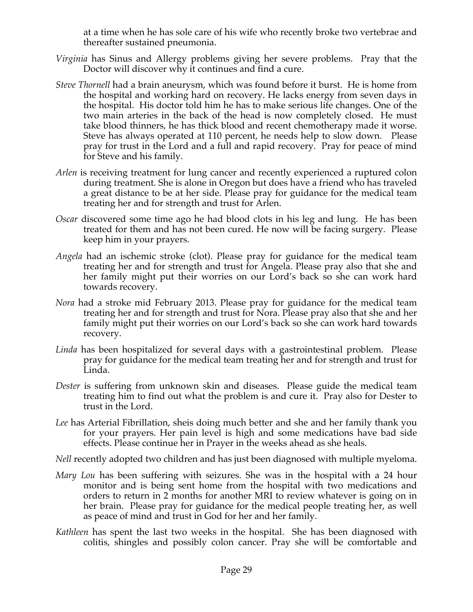at a time when he has sole care of his wife who recently broke two vertebrae and thereafter sustained pneumonia.

- *Virginia* has Sinus and Allergy problems giving her severe problems. Pray that the Doctor will discover why it continues and find a cure.
- *Steve Thornell* had a brain aneurysm, which was found before it burst. He is home from the hospital and working hard on recovery. He lacks energy from seven days in the hospital. His doctor told him he has to make serious life changes. One of the two main arteries in the back of the head is now completely closed. He must take blood thinners, he has thick blood and recent chemotherapy made it worse. Steve has always operated at 110 percent, he needs help to slow down. Please pray for trust in the Lord and a full and rapid recovery. Pray for peace of mind for Steve and his family.
- *Arlen* is receiving treatment for lung cancer and recently experienced a ruptured colon during treatment. She is alone in Oregon but does have a friend who has traveled a great distance to be at her side. Please pray for guidance for the medical team treating her and for strength and trust for Arlen.
- *Oscar* discovered some time ago he had blood clots in his leg and lung. He has been treated for them and has not been cured. He now will be facing surgery. Please keep him in your prayers.
- *Angela* had an ischemic stroke (clot). Please pray for guidance for the medical team treating her and for strength and trust for Angela. Please pray also that she and her family might put their worries on our Lord's back so she can work hard towards recovery.
- *Nora* had a stroke mid February 2013. Please pray for guidance for the medical team treating her and for strength and trust for Nora. Please pray also that she and her family might put their worries on our Lord's back so she can work hard towards recovery.
- *Linda* has been hospitalized for several days with a gastrointestinal problem. Please pray for guidance for the medical team treating her and for strength and trust for Linda.
- *Dester* is suffering from unknown skin and diseases. Please guide the medical team treating him to find out what the problem is and cure it. Pray also for Dester to trust in the Lord.
- *Lee* has Arterial Fibrillation, sheis doing much better and she and her family thank you for your prayers. Her pain level is high and some medications have bad side effects. Please continue her in Prayer in the weeks ahead as she heals.

*Nell* recently adopted two children and has just been diagnosed with multiple myeloma.

- *Mary Lou* has been suffering with seizures. She was in the hospital with a 24 hour monitor and is being sent home from the hospital with two medications and orders to return in 2 months for another MRI to review whatever is going on in her brain. Please pray for guidance for the medical people treating her, as well as peace of mind and trust in God for her and her family.
- *Kathleen* has spent the last two weeks in the hospital. She has been diagnosed with colitis, shingles and possibly colon cancer. Pray she will be comfortable and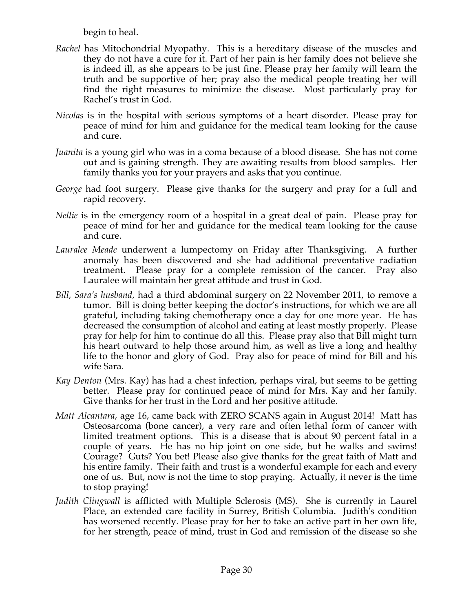begin to heal.

- *Rachel* has Mitochondrial Myopathy. This is a hereditary disease of the muscles and they do not have a cure for it. Part of her pain is her family does not believe she is indeed ill, as she appears to be just fine. Please pray her family will learn the truth and be supportive of her; pray also the medical people treating her will find the right measures to minimize the disease. Most particularly pray for Rachel's trust in God.
- *Nicolas* is in the hospital with serious symptoms of a heart disorder. Please pray for peace of mind for him and guidance for the medical team looking for the cause and cure.
- *Juanita* is a young girl who was in a coma because of a blood disease. She has not come out and is gaining strength. They are awaiting results from blood samples. Her family thanks you for your prayers and asks that you continue.
- *George* had foot surgery. Please give thanks for the surgery and pray for a full and rapid recovery.
- *Nellie* is in the emergency room of a hospital in a great deal of pain. Please pray for peace of mind for her and guidance for the medical team looking for the cause and cure.
- *Lauralee Meade* underwent a lumpectomy on Friday after Thanksgiving. A further anomaly has been discovered and she had additional preventative radiation treatment. Please pray for a complete remission of the cancer. Pray also Lauralee will maintain her great attitude and trust in God.
- *Bill, Sara's husband,* had a third abdominal surgery on 22 November 2011, to remove a tumor. Bill is doing better keeping the doctor's instructions, for which we are all grateful, including taking chemotherapy once a day for one more year. He has decreased the consumption of alcohol and eating at least mostly properly. Please pray for help for him to continue do all this. Please pray also that Bill might turn his heart outward to help those around him, as well as live a long and healthy life to the honor and glory of God. Pray also for peace of mind for Bill and his wife Sara.
- *Kay Denton* (Mrs. Kay) has had a chest infection, perhaps viral, but seems to be getting better. Please pray for continued peace of mind for Mrs. Kay and her family. Give thanks for her trust in the Lord and her positive attitude.
- *Matt Alcantara*, age 16, came back with ZERO SCANS again in August 2014! Matt has Osteosarcoma (bone cancer), a very rare and often lethal form of cancer with limited treatment options. This is a disease that is about 90 percent fatal in a couple of years. He has no hip joint on one side, but he walks and swims! Courage? Guts? You bet! Please also give thanks for the great faith of Matt and his entire family. Their faith and trust is a wonderful example for each and every one of us. But, now is not the time to stop praying. Actually, it never is the time to stop praying!
- *Judith Clingwall* is afflicted with Multiple Sclerosis (MS). She is currently in Laurel Place, an extended care facility in Surrey, British Columbia. Judith's condition has worsened recently. Please pray for her to take an active part in her own life, for her strength, peace of mind, trust in God and remission of the disease so she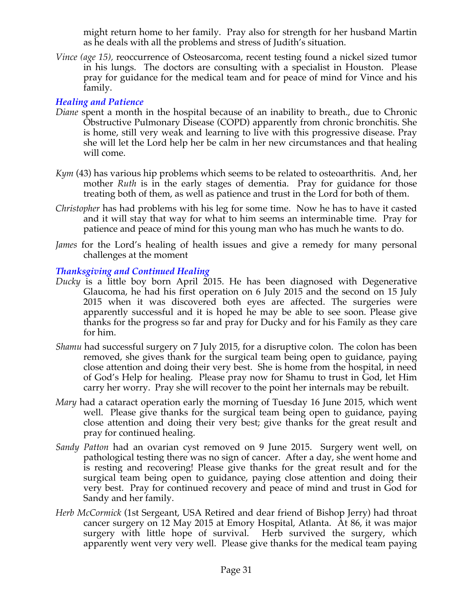might return home to her family. Pray also for strength for her husband Martin as he deals with all the problems and stress of Judith's situation.

*Vince (age 15), reoccurrence of Osteosarcoma, recent testing found a nickel sized tumor* in his lungs. The doctors are consulting with a specialist in Houston. Please pray for guidance for the medical team and for peace of mind for Vince and his family.

### *Healing and Patience*

- *Diane* spent a month in the hospital because of an inability to breath., due to Chronic Obstructive Pulmonary Disease (COPD) apparently from chronic bronchitis. She is home, still very weak and learning to live with this progressive disease. Pray she will let the Lord help her be calm in her new circumstances and that healing will come.
- *Kym* (43) has various hip problems which seems to be related to osteoarthritis. And, her mother *Ruth* is in the early stages of dementia. Pray for guidance for those treating both of them, as well as patience and trust in the Lord for both of them.
- *Christopher* has had problems with his leg for some time. Now he has to have it casted and it will stay that way for what to him seems an interminable time. Pray for patience and peace of mind for this young man who has much he wants to do.
- *James* for the Lord's healing of health issues and give a remedy for many personal challenges at the moment

### *Thanksgiving and Continued Healing*

- *Ducky* is a little boy born April 2015. He has been diagnosed with Degenerative Glaucoma, he had his first operation on 6 July 2015 and the second on 15 July 2015 when it was discovered both eyes are affected. The surgeries were apparently successful and it is hoped he may be able to see soon. Please give thanks for the progress so far and pray for Ducky and for his Family as they care for him.
- *Shamu* had successful surgery on 7 July 2015, for a disruptive colon. The colon has been removed, she gives thank for the surgical team being open to guidance, paying close attention and doing their very best. She is home from the hospital, in need of God's Help for healing. Please pray now for Shamu to trust in God, let Him carry her worry. Pray she will recover to the point her internals may be rebuilt.
- *Mary* had a cataract operation early the morning of Tuesday 16 June 2015, which went well. Please give thanks for the surgical team being open to guidance, paying close attention and doing their very best; give thanks for the great result and pray for continued healing.
- *Sandy Patton* had an ovarian cyst removed on 9 June 2015. Surgery went well, on pathological testing there was no sign of cancer. After a day, she went home and is resting and recovering! Please give thanks for the great result and for the surgical team being open to guidance, paying close attention and doing their very best. Pray for continued recovery and peace of mind and trust in God for Sandy and her family.
- *Herb McCormick* (1st Sergeant, USA Retired and dear friend of Bishop Jerry) had throat cancer surgery on 12 May 2015 at Emory Hospital, Atlanta. At 86, it was major surgery with little hope of survival. Herb survived the surgery, which apparently went very very well. Please give thanks for the medical team paying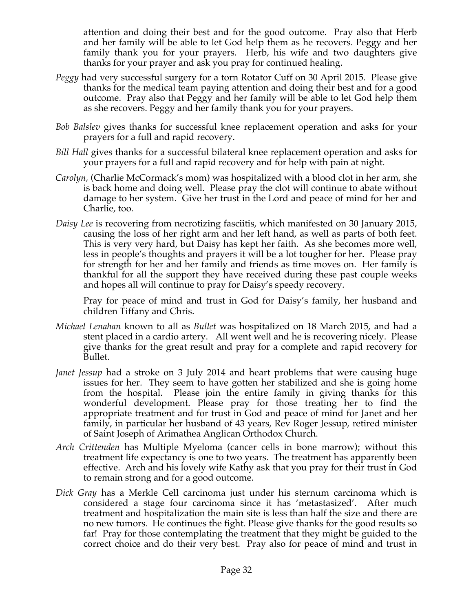attention and doing their best and for the good outcome. Pray also that Herb and her family will be able to let God help them as he recovers. Peggy and her family thank you for your prayers. Herb, his wife and two daughters give thanks for your prayer and ask you pray for continued healing.

- *Peggy* had very successful surgery for a torn Rotator Cuff on 30 April 2015. Please give thanks for the medical team paying attention and doing their best and for a good outcome. Pray also that Peggy and her family will be able to let God help them as she recovers. Peggy and her family thank you for your prayers.
- *Bob Balslev* gives thanks for successful knee replacement operation and asks for your prayers for a full and rapid recovery.
- *Bill Hall* gives thanks for a successful bilateral knee replacement operation and asks for your prayers for a full and rapid recovery and for help with pain at night.
- *Carolyn,* (Charlie McCormack's mom) was hospitalized with a blood clot in her arm, she is back home and doing well. Please pray the clot will continue to abate without damage to her system. Give her trust in the Lord and peace of mind for her and Charlie, too.
- *Daisy Lee* is recovering from necrotizing fasciitis, which manifested on 30 January 2015, causing the loss of her right arm and her left hand, as well as parts of both feet. This is very very hard, but Daisy has kept her faith. As she becomes more well, less in people's thoughts and prayers it will be a lot tougher for her. Please pray for strength for her and her family and friends as time moves on. Her family is thankful for all the support they have received during these past couple weeks and hopes all will continue to pray for Daisy's speedy recovery.

Pray for peace of mind and trust in God for Daisy's family, her husband and children Tiffany and Chris.

- *Michael Lenahan* known to all as *Bullet* was hospitalized on 18 March 2015, and had a stent placed in a cardio artery. All went well and he is recovering nicely. Please give thanks for the great result and pray for a complete and rapid recovery for Bullet.
- *Janet Jessup* had a stroke on 3 July 2014 and heart problems that were causing huge issues for her. They seem to have gotten her stabilized and she is going home from the hospital. Please join the entire family in giving thanks for this wonderful development. Please pray for those treating her to find the appropriate treatment and for trust in God and peace of mind for Janet and her family, in particular her husband of 43 years, Rev Roger Jessup, retired minister of Saint Joseph of Arimathea Anglican Orthodox Church.
- *Arch Crittenden* has Multiple Myeloma (cancer cells in bone marrow); without this treatment life expectancy is one to two years. The treatment has apparently been effective. Arch and his lovely wife Kathy ask that you pray for their trust in God to remain strong and for a good outcome.
- *Dick Gray* has a Merkle Cell carcinoma just under his sternum carcinoma which is considered a stage four carcinoma since it has 'metastasized'. After much treatment and hospitalization the main site is less than half the size and there are no new tumors. He continues the fight. Please give thanks for the good results so far! Pray for those contemplating the treatment that they might be guided to the correct choice and do their very best. Pray also for peace of mind and trust in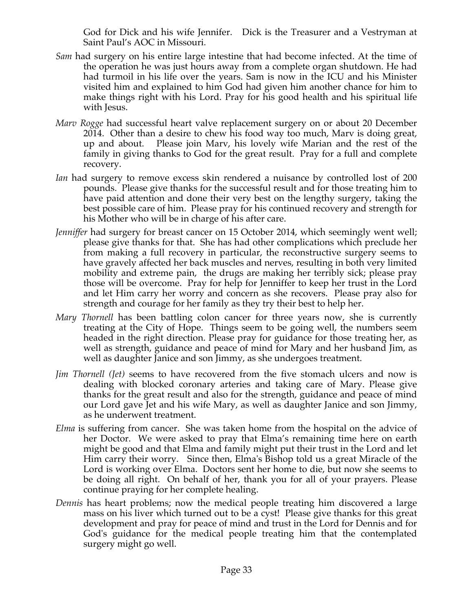God for Dick and his wife Jennifer. Dick is the Treasurer and a Vestryman at Saint Paul's AOC in Missouri.

- *Sam* had surgery on his entire large intestine that had become infected. At the time of the operation he was just hours away from a complete organ shutdown. He had had turmoil in his life over the years. Sam is now in the ICU and his Minister visited him and explained to him God had given him another chance for him to make things right with his Lord. Pray for his good health and his spiritual life with Jesus.
- *Marv Rogge* had successful heart valve replacement surgery on or about 20 December 2014. Other than a desire to chew his food way too much, Marv is doing great, up and about. Please join Marv, his lovely wife Marian and the rest of the family in giving thanks to God for the great result. Pray for a full and complete recovery.
- *Ian* had surgery to remove excess skin rendered a nuisance by controlled lost of 200 pounds. Please give thanks for the successful result and for those treating him to have paid attention and done their very best on the lengthy surgery, taking the best possible care of him. Please pray for his continued recovery and strength for his Mother who will be in charge of his after care.
- *Jenniffer* had surgery for breast cancer on 15 October 2014, which seemingly went well; please give thanks for that. She has had other complications which preclude her from making a full recovery in particular, the reconstructive surgery seems to have gravely affected her back muscles and nerves, resulting in both very limited mobility and extreme pain, the drugs are making her terribly sick; please pray those will be overcome. Pray for help for Jenniffer to keep her trust in the Lord and let Him carry her worry and concern as she recovers. Please pray also for strength and courage for her family as they try their best to help her.
- *Mary Thornell* has been battling colon cancer for three years now, she is currently treating at the City of Hope. Things seem to be going well, the numbers seem headed in the right direction. Please pray for guidance for those treating her, as well as strength, guidance and peace of mind for Mary and her husband Jim, as well as daughter Janice and son Jimmy, as she undergoes treatment.
- *Jim Thornell (Jet)* seems to have recovered from the five stomach ulcers and now is dealing with blocked coronary arteries and taking care of Mary. Please give thanks for the great result and also for the strength, guidance and peace of mind our Lord gave Jet and his wife Mary, as well as daughter Janice and son Jimmy, as he underwent treatment.
- *Elma* is suffering from cancer. She was taken home from the hospital on the advice of her Doctor. We were asked to pray that Elma's remaining time here on earth might be good and that Elma and family might put their trust in the Lord and let Him carry their worry. Since then, Elma's Bishop told us a great Miracle of the Lord is working over Elma. Doctors sent her home to die, but now she seems to be doing all right. On behalf of her, thank you for all of your prayers. Please continue praying for her complete healing.
- *Dennis* has heart problems; now the medical people treating him discovered a large mass on his liver which turned out to be a cyst! Please give thanks for this great development and pray for peace of mind and trust in the Lord for Dennis and for God's guidance for the medical people treating him that the contemplated surgery might go well.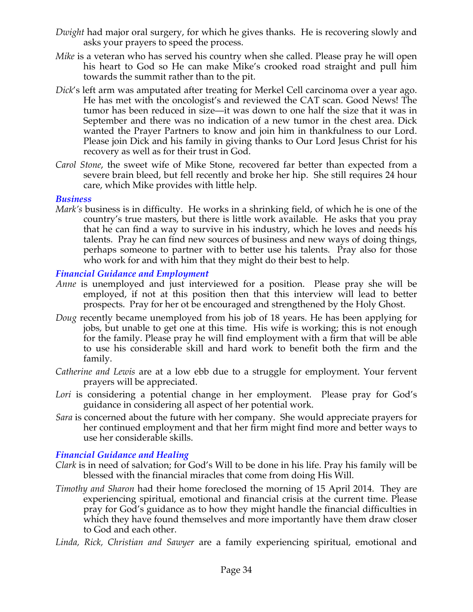- *Dwight* had major oral surgery, for which he gives thanks. He is recovering slowly and asks your prayers to speed the process.
- *Mike* is a veteran who has served his country when she called. Please pray he will open his heart to God so He can make Mike's crooked road straight and pull him towards the summit rather than to the pit.
- *Dick*'s left arm was amputated after treating for Merkel Cell carcinoma over a year ago. He has met with the oncologist's and reviewed the CAT scan. Good News! The tumor has been reduced in size—it was down to one half the size that it was in September and there was no indication of a new tumor in the chest area. Dick wanted the Prayer Partners to know and join him in thankfulness to our Lord. Please join Dick and his family in giving thanks to Our Lord Jesus Christ for his recovery as well as for their trust in God.
- *Carol Stone*, the sweet wife of Mike Stone, recovered far better than expected from a severe brain bleed, but fell recently and broke her hip. She still requires 24 hour care, which Mike provides with little help.

### *Business*

*Mark's* business is in difficulty. He works in a shrinking field, of which he is one of the country's true masters, but there is little work available. He asks that you pray that he can find a way to survive in his industry, which he loves and needs his talents. Pray he can find new sources of business and new ways of doing things, perhaps someone to partner with to better use his talents. Pray also for those who work for and with him that they might do their best to help.

### *Financial Guidance and Employment*

- *Anne* is unemployed and just interviewed for a position. Please pray she will be employed, if not at this position then that this interview will lead to better prospects. Pray for her ot be encouraged and strengthened by the Holy Ghost.
- *Doug* recently became unemployed from his job of 18 years. He has been applying for jobs, but unable to get one at this time. His wife is working; this is not enough for the family. Please pray he will find employment with a firm that will be able to use his considerable skill and hard work to benefit both the firm and the family.
- *Catherine and Lewis* are at a low ebb due to a struggle for employment. Your fervent prayers will be appreciated.
- Lori is considering a potential change in her employment. Please pray for God's guidance in considering all aspect of her potential work.
- *Sara* is concerned about the future with her company. She would appreciate prayers for her continued employment and that her firm might find more and better ways to use her considerable skills.

### *Financial Guidance and Healing*

- *Clark* is in need of salvation; for God's Will to be done in his life. Pray his family will be blessed with the financial miracles that come from doing His Will.
- *Timothy and Sharon* had their home foreclosed the morning of 15 April 2014. They are experiencing spiritual, emotional and financial crisis at the current time. Please pray for God's guidance as to how they might handle the financial difficulties in which they have found themselves and more importantly have them draw closer to God and each other.
- *Linda, Rick, Christian and Sawyer* are a family experiencing spiritual, emotional and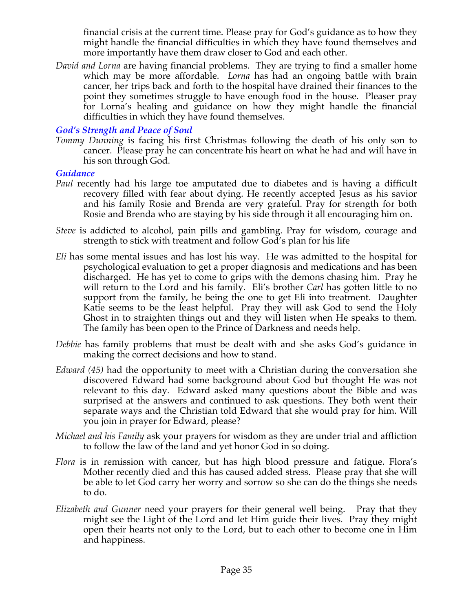financial crisis at the current time. Please pray for God's guidance as to how they might handle the financial difficulties in which they have found themselves and more importantly have them draw closer to God and each other.

*David and Lorna* are having financial problems. They are trying to find a smaller home which may be more affordable. *Lorna* has had an ongoing battle with brain cancer, her trips back and forth to the hospital have drained their finances to the point they sometimes struggle to have enough food in the house. Pleaser pray for Lorna's healing and guidance on how they might handle the financial difficulties in which they have found themselves.

### *God's Strength and Peace of Soul*

*Tommy Dunning* is facing his first Christmas following the death of his only son to cancer. Please pray he can concentrate his heart on what he had and will have in his son through God.

### *Guidance*

- *Paul* recently had his large toe amputated due to diabetes and is having a difficult recovery filled with fear about dying. He recently accepted Jesus as his savior and his family Rosie and Brenda are very grateful. Pray for strength for both Rosie and Brenda who are staying by his side through it all encouraging him on.
- *Steve* is addicted to alcohol, pain pills and gambling. Pray for wisdom, courage and strength to stick with treatment and follow God's plan for his life
- *Eli* has some mental issues and has lost his way. He was admitted to the hospital for psychological evaluation to get a proper diagnosis and medications and has been discharged. He has yet to come to grips with the demons chasing him. Pray he will return to the Lord and his family. Eli's brother *Carl* has gotten little to no support from the family, he being the one to get Eli into treatment. Daughter Katie seems to be the least helpful. Pray they will ask God to send the Holy Ghost in to straighten things out and they will listen when He speaks to them. The family has been open to the Prince of Darkness and needs help.
- *Debbie* has family problems that must be dealt with and she asks God's guidance in making the correct decisions and how to stand.
- *Edward (45)* had the opportunity to meet with a Christian during the conversation she discovered Edward had some background about God but thought He was not relevant to this day. Edward asked many questions about the Bible and was surprised at the answers and continued to ask questions. They both went their separate ways and the Christian told Edward that she would pray for him. Will you join in prayer for Edward, please?
- *Michael and his Family* ask your prayers for wisdom as they are under trial and affliction to follow the law of the land and yet honor God in so doing.
- *Flora* is in remission with cancer, but has high blood pressure and fatigue. Flora's Mother recently died and this has caused added stress. Please pray that she will be able to let God carry her worry and sorrow so she can do the things she needs to do.
- *Elizabeth and Gunner* need your prayers for their general well being. Pray that they might see the Light of the Lord and let Him guide their lives. Pray they might open their hearts not only to the Lord, but to each other to become one in Him and happiness.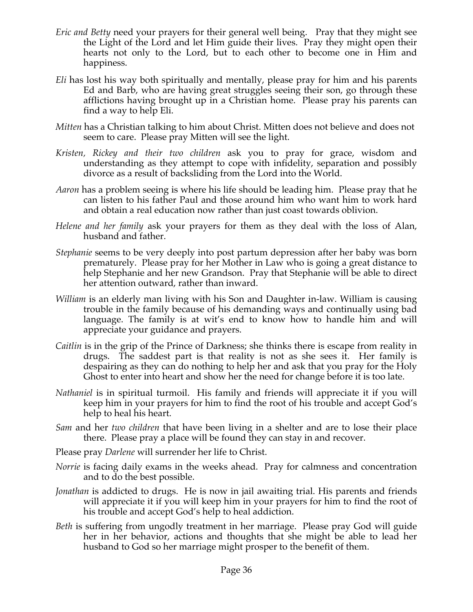- *Eric and Betty* need your prayers for their general well being. Pray that they might see the Light of the Lord and let Him guide their lives. Pray they might open their hearts not only to the Lord, but to each other to become one in Him and happiness.
- *Eli* has lost his way both spiritually and mentally, please pray for him and his parents Ed and Barb, who are having great struggles seeing their son, go through these afflictions having brought up in a Christian home. Please pray his parents can find a way to help Eli.
- *Mitten* has a Christian talking to him about Christ. Mitten does not believe and does not seem to care. Please pray Mitten will see the light.
- *Kristen, Rickey and their two children* ask you to pray for grace, wisdom and understanding as they attempt to cope with infidelity, separation and possibly divorce as a result of backsliding from the Lord into the World.
- *Aaron* has a problem seeing is where his life should be leading him. Please pray that he can listen to his father Paul and those around him who want him to work hard and obtain a real education now rather than just coast towards oblivion.
- *Helene and her family* ask your prayers for them as they deal with the loss of Alan, husband and father.
- *Stephanie* seems to be very deeply into post partum depression after her baby was born prematurely. Please pray for her Mother in Law who is going a great distance to help Stephanie and her new Grandson. Pray that Stephanie will be able to direct her attention outward, rather than inward.
- *William* is an elderly man living with his Son and Daughter in-law. William is causing trouble in the family because of his demanding ways and continually using bad language. The family is at wit's end to know how to handle him and will appreciate your guidance and prayers.
- *Caitlin* is in the grip of the Prince of Darkness; she thinks there is escape from reality in drugs. The saddest part is that reality is not as she sees it. Her family is despairing as they can do nothing to help her and ask that you pray for the Holy Ghost to enter into heart and show her the need for change before it is too late.
- *Nathaniel* is in spiritual turmoil. His family and friends will appreciate it if you will keep him in your prayers for him to find the root of his trouble and accept God's help to heal his heart.
- *Sam* and her *two children* that have been living in a shelter and are to lose their place there. Please pray a place will be found they can stay in and recover.
- Please pray *Darlene* will surrender her life to Christ.
- *Norrie* is facing daily exams in the weeks ahead. Pray for calmness and concentration and to do the best possible.
- *Jonathan* is addicted to drugs. He is now in jail awaiting trial. His parents and friends will appreciate it if you will keep him in your prayers for him to find the root of his trouble and accept God's help to heal addiction.
- *Beth* is suffering from ungodly treatment in her marriage. Please pray God will guide her in her behavior, actions and thoughts that she might be able to lead her husband to God so her marriage might prosper to the benefit of them.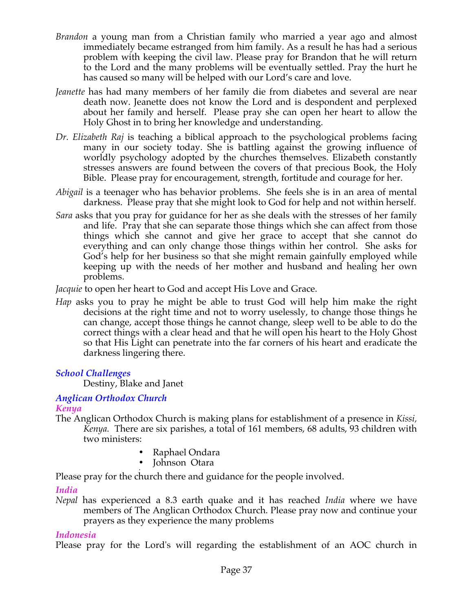- *Brandon* a young man from a Christian family who married a year ago and almost immediately became estranged from him family. As a result he has had a serious problem with keeping the civil law. Please pray for Brandon that he will return to the Lord and the many problems will be eventually settled. Pray the hurt he has caused so many will be helped with our Lord's care and love.
- *Jeanette* has had many members of her family die from diabetes and several are near death now. Jeanette does not know the Lord and is despondent and perplexed about her family and herself. Please pray she can open her heart to allow the Holy Ghost in to bring her knowledge and understanding.
- *Dr. Elizabeth Raj* is teaching a biblical approach to the psychological problems facing many in our society today. She is battling against the growing influence of worldly psychology adopted by the churches themselves. Elizabeth constantly stresses answers are found between the covers of that precious Book, the Holy Bible. Please pray for encouragement, strength, fortitude and courage for her.
- *Abigail* is a teenager who has behavior problems. She feels she is in an area of mental darkness. Please pray that she might look to God for help and not within herself.
- *Sara* asks that you pray for guidance for her as she deals with the stresses of her family and life. Pray that she can separate those things which she can affect from those things which she cannot and give her grace to accept that she cannot do everything and can only change those things within her control. She asks for God's help for her business so that she might remain gainfully employed while keeping up with the needs of her mother and husband and healing her own problems.

*Jacquie* to open her heart to God and accept His Love and Grace.

*Hap* asks you to pray he might be able to trust God will help him make the right decisions at the right time and not to worry uselessly, to change those things he can change, accept those things he cannot change, sleep well to be able to do the correct things with a clear head and that he will open his heart to the Holy Ghost so that His Light can penetrate into the far corners of his heart and eradicate the darkness lingering there.

### *School Challenges*

Destiny, Blake and Janet

## *Anglican Orthodox Church*

*Kenya*

- The Anglican Orthodox Church is making plans for establishment of a presence in *Kissi, Kenya.* There are six parishes, a total of 161 members, 68 adults, 93 children with two ministers:
	- Raphael Ondara
	- Johnson Otara

Please pray for the church there and guidance for the people involved.

### *India*

*Nepal* has experienced a 8.3 earth quake and it has reached *India* where we have members of The Anglican Orthodox Church. Please pray now and continue your prayers as they experience the many problems

### *Indonesia*

Please pray for the Lord's will regarding the establishment of an AOC church in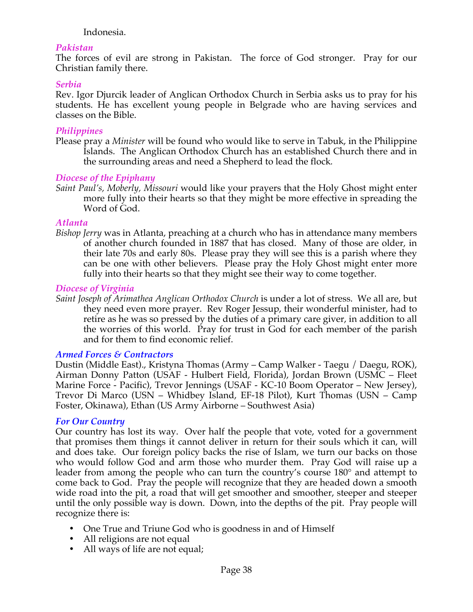Indonesia.

### *Pakistan*

The forces of evil are strong in Pakistan. The force of God stronger. Pray for our Christian family there.

### *Serbia*

Rev. Igor Djurcik leader of Anglican Orthodox Church in Serbia asks us to pray for his students. He has excellent young people in Belgrade who are having services and classes on the Bible.

### *Philippines*

Please pray a *Minister* will be found who would like to serve in Tabuk, in the Philippine Islands. The Anglican Orthodox Church has an established Church there and in the surrounding areas and need a Shepherd to lead the flock*.*

### *Diocese of the Epiphany*

*Saint Paul's, Moberly, Missouri* would like your prayers that the Holy Ghost might enter more fully into their hearts so that they might be more effective in spreading the Word of God.

### *Atlanta*

*Bishop Jerry* was in Atlanta, preaching at a church who has in attendance many members of another church founded in 1887 that has closed. Many of those are older, in their late 70s and early 80s. Please pray they will see this is a parish where they can be one with other believers. Please pray the Holy Ghost might enter more fully into their hearts so that they might see their way to come together.

### *Diocese of Virginia*

*Saint Joseph of Arimathea Anglican Orthodox Church* is under a lot of stress. We all are, but they need even more prayer. Rev Roger Jessup, their wonderful minister, had to retire as he was so pressed by the duties of a primary care giver, in addition to all the worries of this world. Pray for trust in God for each member of the parish and for them to find economic relief.

### *Armed Forces & Contractors*

Dustin (Middle East)., Kristyna Thomas (Army – Camp Walker - Taegu / Daegu, ROK), Airman Donny Patton (USAF - Hulbert Field, Florida), Jordan Brown (USMC – Fleet Marine Force - Pacific), Trevor Jennings (USAF - KC-10 Boom Operator – New Jersey), Trevor Di Marco (USN – Whidbey Island, EF-18 Pilot), Kurt Thomas (USN – Camp Foster, Okinawa), Ethan (US Army Airborne – Southwest Asia)

### *For Our Country*

Our country has lost its way. Over half the people that vote, voted for a government that promises them things it cannot deliver in return for their souls which it can, will and does take. Our foreign policy backs the rise of Islam, we turn our backs on those who would follow God and arm those who murder them. Pray God will raise up a leader from among the people who can turn the country's course 180° and attempt to come back to God. Pray the people will recognize that they are headed down a smooth wide road into the pit, a road that will get smoother and smoother, steeper and steeper until the only possible way is down. Down, into the depths of the pit. Pray people will recognize there is:

- One True and Triune God who is goodness in and of Himself
- All religions are not equal
- All ways of life are not equal;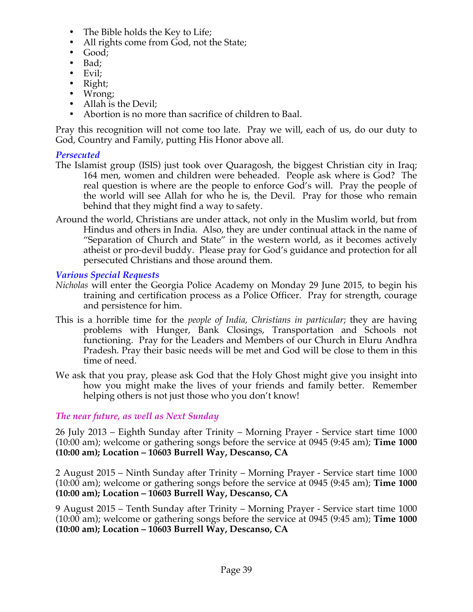- The Bible holds the Key to Life;
- All rights come from God, not the State;
- Good;
- Bad;
- Evil;
- Right;
- Wrong;
- Allah is the Devil;
- Abortion is no more than sacrifice of children to Baal.

Pray this recognition will not come too late. Pray we will, each of us, do our duty to God, Country and Family, putting His Honor above all.

### *Persecuted*

- The Islamist group (ISIS) just took over Quaragosh, the biggest Christian city in Iraq; 164 men, women and children were beheaded. People ask where is God? The real question is where are the people to enforce God's will. Pray the people of the world will see Allah for who he is, the Devil. Pray for those who remain behind that they might find a way to safety.
- Around the world, Christians are under attack, not only in the Muslim world, but from Hindus and others in India. Also, they are under continual attack in the name of "Separation of Church and State" in the western world, as it becomes actively atheist or pro-devil buddy. Please pray for God's guidance and protection for all persecuted Christians and those around them.

### *Various Special Requests*

- *Nicholas* will enter the Georgia Police Academy on Monday 29 June 2015, to begin his training and certification process as a Police Officer. Pray for strength, courage and persistence for him.
- This is a horrible time for the *people of India, Christians in particular*; they are having problems with Hunger, Bank Closings, Transportation and Schools not functioning. Pray for the Leaders and Members of our Church in Eluru Andhra Pradesh. Pray their basic needs will be met and God will be close to them in this time of need.
- We ask that you pray, please ask God that the Holy Ghost might give you insight into how you might make the lives of your friends and family better. Remember helping others is not just those who you don't know!

### *The near future, as well as Next Sunday*

26 July 2013 – Eighth Sunday after Trinity – Morning Prayer - Service start time 1000 (10:00 am); welcome or gathering songs before the service at 0945 (9:45 am); **Time 1000 (10:00 am); Location – 10603 Burrell Way, Descanso, CA**

2 August 2015 – Ninth Sunday after Trinity – Morning Prayer - Service start time 1000 (10:00 am); welcome or gathering songs before the service at 0945 (9:45 am); **Time 1000 (10:00 am); Location – 10603 Burrell Way, Descanso, CA**

9 August 2015 – Tenth Sunday after Trinity – Morning Prayer - Service start time 1000 (10:00 am); welcome or gathering songs before the service at 0945 (9:45 am); **Time 1000 (10:00 am); Location – 10603 Burrell Way, Descanso, CA**